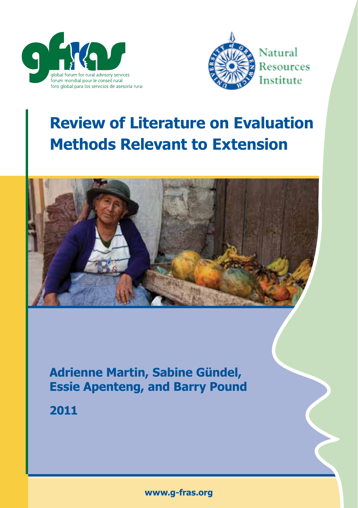



# **Review of Literature on Evaluation Methods Relevant to Extension**



**Adrienne Martin, Sabine Gündel, Essie Apenteng, and Barry Pound**

**2011**

**www.g-fras.org**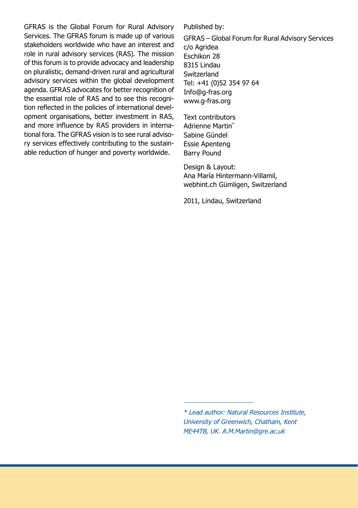GFRAS is the Global Forum for Rural Advisory Services. The GFRAS forum is made up of various stakeholders worldwide who have an interest and role in rural advisory services (RAS). The mission of this forum is to provide advocacy and leadership on pluralistic, demand-driven rural and agricultural advisory services within the global development agenda. GFRAS advocates for better recognition of the essential role of RAS and to see this recognition reflected in the policies of international development organisations, better investment in RAS, and more influence by RAS providers in international fora. The GFRAS vision is to see rural advisory services effectively contributing to the sustainable reduction of hunger and poverty worldwide.

Published by:

GFRAS – Global Forum for Rural Advisory Services c/o Agridea Eschikon 28 8315 Lindau **Switzerland** Tel: +41 (0)52 354 97 64 Info@g-fras.org www.g-fras.org

Text contributors Adrienne Martin\* Sabine Gündel Essie Apenteng Barry Pound

Design & Layout: Ana María Hintermann-Villamil, webhint.ch Gümligen, Switzerland

2011, Lindau, Switzerland

*<sup>\*</sup> Lead author: Natural Resources Institute, University of Greenwich, Chatham, Kent ME44TB, UK. A.M.Martin@gre.ac.uk*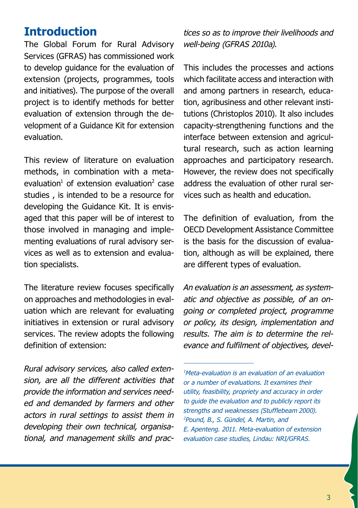### **Introduction**

The Global Forum for Rural Advisory Services (GFRAS) has commissioned work to develop guidance for the evaluation of extension (projects, programmes, tools and initiatives). The purpose of the overall project is to identify methods for better evaluation of extension through the development of a Guidance Kit for extension evaluation.

This review of literature on evaluation methods, in combination with a metaevaluation<sup>1</sup> of extension evaluation<sup>2</sup> case studies , is intended to be a resource for developing the Guidance Kit. It is envisaged that this paper will be of interest to those involved in managing and implementing evaluations of rural advisory services as well as to extension and evaluation specialists.

The literature review focuses specifically on approaches and methodologies in evaluation which are relevant for evaluating initiatives in extension or rural advisory services. The review adopts the following definition of extension:

*Rural advisory services, also called extension, are all the different activities that provide the information and services needed and demanded by farmers and other actors in rural settings to assist them in developing their own technical, organisational, and management skills and prac-* *tices so as to improve their livelihoods and well-being (GFRAS 2010a).*

This includes the processes and actions which facilitate access and interaction with and among partners in research, education, agribusiness and other relevant institutions (Christoplos 2010). It also includes capacity-strengthening functions and the interface between extension and agricultural research, such as action learning approaches and participatory research. However, the review does not specifically address the evaluation of other rural services such as health and education.

The definition of evaluation, from the OECD Development Assistance Committee is the basis for the discussion of evaluation, although as will be explained, there are different types of evaluation.

*An evaluation is an assessment, as systematic and objective as possible, of an ongoing or completed project, programme or policy, its design, implementation and results. The aim is to determine the relevance and fulfilment of objectives, devel-*

*<sup>1</sup> Meta-evaluation is an evaluation of an evaluation or a number of evaluations. It examines their utility, feasibility, propriety and accuracy in order to guide the evaluation and to publicly report its strengths and weaknesses (Stufflebeam 2000). 2 Pound, B., S. Gündel, A. Martin, and E. Apenteng. 2011. Meta-evaluation of extension evaluation case studies, Lindau: NRI/GFRAS.*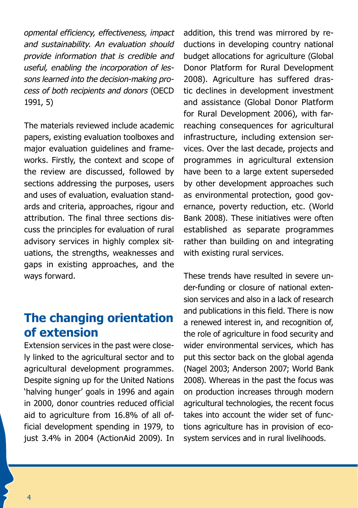*opmental efficiency, effectiveness, impact and sustainability. An evaluation should provide information that is credible and useful, enabling the incorporation of lessons learned into the decision-making process of both recipients and donors* (OECD 1991, 5)

The materials reviewed include academic papers, existing evaluation toolboxes and major evaluation guidelines and frameworks. Firstly, the context and scope of the review are discussed, followed by sections addressing the purposes, users and uses of evaluation, evaluation standards and criteria, approaches, rigour and attribution. The final three sections discuss the principles for evaluation of rural advisory services in highly complex situations, the strengths, weaknesses and gaps in existing approaches, and the ways forward.

# **The changing orientation of extension**

Extension services in the past were closely linked to the agricultural sector and to agricultural development programmes. Despite signing up for the United Nations 'halving hunger' goals in 1996 and again in 2000, donor countries reduced official aid to agriculture from 16.8% of all official development spending in 1979, to just 3.4% in 2004 (ActionAid 2009). In

addition, this trend was mirrored by reductions in developing country national budget allocations for agriculture (Global Donor Platform for Rural Development 2008). Agriculture has suffered drastic declines in development investment and assistance (Global Donor Platform for Rural Development 2006), with farreaching consequences for agricultural infrastructure, including extension services. Over the last decade, projects and programmes in agricultural extension have been to a large extent superseded by other development approaches such as environmental protection, good governance, poverty reduction, etc. (World Bank 2008). These initiatives were often established as separate programmes rather than building on and integrating with existing rural services.

These trends have resulted in severe under-funding or closure of national extension services and also in a lack of research and publications in this field. There is now a renewed interest in, and recognition of, the role of agriculture in food security and wider environmental services, which has put this sector back on the global agenda (Nagel 2003; Anderson 2007; World Bank 2008). Whereas in the past the focus was on production increases through modern agricultural technologies, the recent focus takes into account the wider set of functions agriculture has in provision of ecosystem services and in rural livelihoods.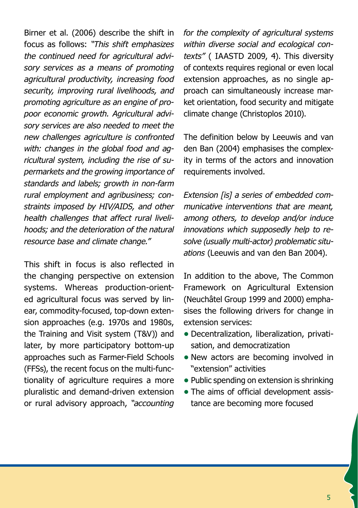Birner et al. (2006) describe the shift in focus as follows: *"This shift emphasizes the continued need for agricultural advisory services as a means of promoting agricultural productivity, increasing food security, improving rural livelihoods, and promoting agriculture as an engine of propoor economic growth. Agricultural advisory services are also needed to meet the new challenges agriculture is confronted with: changes in the global food and agricultural system, including the rise of supermarkets and the growing importance of standards and labels; growth in non-farm rural employment and agribusiness; constraints imposed by HIV/AIDS, and other health challenges that affect rural livelihoods; and the deterioration of the natural resource base and climate change."*

This shift in focus is also reflected in the changing perspective on extension systems. Whereas production-oriented agricultural focus was served by linear, commodity-focused, top-down extension approaches (e.g. 1970s and 1980s, the Training and Visit system (T&V)) and later, by more participatory bottom-up approaches such as Farmer-Field Schools (FFSs), the recent focus on the multi-functionality of agriculture requires a more pluralistic and demand-driven extension or rural advisory approach, *"accounting* 

*for the complexity of agricultural systems within diverse social and ecological contexts"* ( IAASTD 2009, 4). This diversity of contexts requires regional or even local extension approaches, as no single approach can simultaneously increase market orientation, food security and mitigate climate change (Christoplos 2010).

The definition below by Leeuwis and van den Ban (2004) emphasises the complexity in terms of the actors and innovation requirements involved.

*Extension [is] a series of embedded communicative interventions that are meant, among others, to develop and/or induce innovations which supposedly help to resolve (usually multi-actor) problematic situations* (Leeuwis and van den Ban 2004).

In addition to the above, The Common Framework on Agricultural Extension (Neuchâtel Group 1999 and 2000) emphasises the following drivers for change in extension services:

- **•** Decentralization, liberalization, privatisation, and democratization
- New actors are becoming involved in "extension" activities
- **•** Public spending on extension is shrinking
- The aims of official development assistance are becoming more focused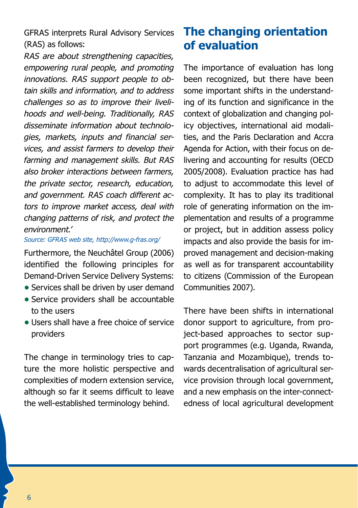GFRAS interprets Rural Advisory Services (RAS) as follows:

*RAS are about strengthening capacities, empowering rural people, and promoting innovations. RAS support people to obtain skills and information, and to address challenges so as to improve their livelihoods and well-being. Traditionally, RAS disseminate information about technologies, markets, inputs and financial services, and assist farmers to develop their farming and management skills. But RAS also broker interactions between farmers, the private sector, research, education, and government. RAS coach different actors to improve market access, deal with changing patterns of risk, and protect the environment.'* 

*Source: GFRAS web site, http://www.g-fras.org/*

Furthermore, the Neuchâtel Group (2006) identified the following principles for Demand-Driven Service Delivery Systems:

- Services shall be driven by user demand
- **•** Service providers shall be accountable to the users
- **•** Users shall have a free choice of service providers

The change in terminology tries to capture the more holistic perspective and complexities of modern extension service, although so far it seems difficult to leave the well-established terminology behind.

# **The changing orientation of evaluation**

The importance of evaluation has long been recognized, but there have been some important shifts in the understanding of its function and significance in the context of globalization and changing policy objectives, international aid modalities, and the Paris Declaration and Accra Agenda for Action, with their focus on delivering and accounting for results (OECD 2005/2008). Evaluation practice has had to adjust to accommodate this level of complexity. It has to play its traditional role of generating information on the implementation and results of a programme or project, but in addition assess policy impacts and also provide the basis for improved management and decision-making as well as for transparent accountability to citizens (Commission of the European Communities 2007).

There have been shifts in international donor support to agriculture, from project-based approaches to sector support programmes (e.g. Uganda, Rwanda, Tanzania and Mozambique), trends towards decentralisation of agricultural service provision through local government, and a new emphasis on the inter-connectedness of local agricultural development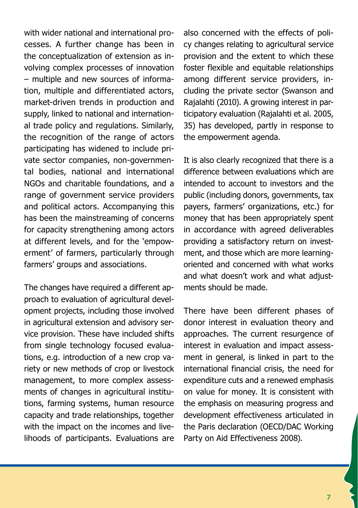with wider national and international processes. A further change has been in the conceptualization of extension as involving complex processes of innovation – multiple and new sources of information, multiple and differentiated actors, market-driven trends in production and supply, linked to national and international trade policy and regulations. Similarly, the recognition of the range of actors participating has widened to include private sector companies, non-governmental bodies, national and international NGOs and charitable foundations, and a range of government service providers and political actors. Accompanying this has been the mainstreaming of concerns for capacity strengthening among actors at different levels, and for the 'empowerment' of farmers, particularly through farmers' groups and associations.

The changes have required a different approach to evaluation of agricultural development projects, including those involved in agricultural extension and advisory service provision. These have included shifts from single technology focused evaluations, e.g. introduction of a new crop variety or new methods of crop or livestock management, to more complex assessments of changes in agricultural institutions, farming systems, human resource capacity and trade relationships, together with the impact on the incomes and livelihoods of participants. Evaluations are

also concerned with the effects of policy changes relating to agricultural service provision and the extent to which these foster flexible and equitable relationships among different service providers, including the private sector (Swanson and Rajalahti (2010). A growing interest in participatory evaluation (Rajalahti et al. 2005, 35) has developed, partly in response to the empowerment agenda.

It is also clearly recognized that there is a difference between evaluations which are intended to account to investors and the public (including donors, governments, tax payers, farmers' organizations, etc.) for money that has been appropriately spent in accordance with agreed deliverables providing a satisfactory return on investment, and those which are more learningoriented and concerned with what works and what doesn't work and what adjustments should be made.

There have been different phases of donor interest in evaluation theory and approaches. The current resurgence of interest in evaluation and impact assessment in general, is linked in part to the international financial crisis, the need for expenditure cuts and a renewed emphasis on value for money. It is consistent with the emphasis on measuring progress and development effectiveness articulated in the Paris declaration (OECD/DAC Working Party on Aid Effectiveness 2008).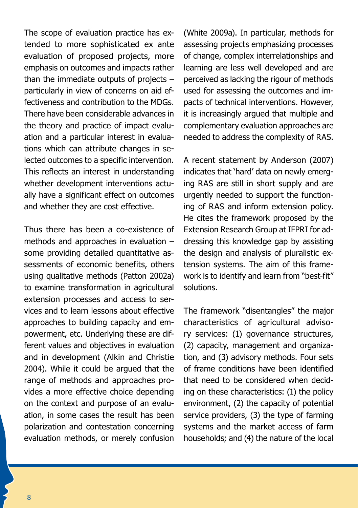The scope of evaluation practice has extended to more sophisticated ex ante evaluation of proposed projects, more emphasis on outcomes and impacts rather than the immediate outputs of projects  $$ particularly in view of concerns on aid effectiveness and contribution to the MDGs. There have been considerable advances in the theory and practice of impact evaluation and a particular interest in evaluations which can attribute changes in selected outcomes to a specific intervention. This reflects an interest in understanding whether development interventions actually have a significant effect on outcomes and whether they are cost effective.

Thus there has been a co-existence of methods and approaches in evaluation – some providing detailed quantitative assessments of economic benefits, others using qualitative methods (Patton 2002a) to examine transformation in agricultural extension processes and access to services and to learn lessons about effective approaches to building capacity and empowerment, etc. Underlying these are different values and objectives in evaluation and in development (Alkin and Christie 2004). While it could be argued that the range of methods and approaches provides a more effective choice depending on the context and purpose of an evaluation, in some cases the result has been polarization and contestation concerning evaluation methods, or merely confusion

(White 2009a). In particular, methods for assessing projects emphasizing processes of change, complex interrelationships and learning are less well developed and are perceived as lacking the rigour of methods used for assessing the outcomes and impacts of technical interventions. However, it is increasingly argued that multiple and complementary evaluation approaches are needed to address the complexity of RAS.

A recent statement by Anderson (2007) indicates that 'hard' data on newly emerging RAS are still in short supply and are urgently needed to support the functioning of RAS and inform extension policy. He cites the framework proposed by the Extension Research Group at IFPRI for addressing this knowledge gap by assisting the design and analysis of pluralistic extension systems. The aim of this framework is to identify and learn from "best-fit" solutions.

The framework "disentangles" the major characteristics of agricultural advisory services: (1) governance structures, (2) capacity, management and organization, and (3) advisory methods. Four sets of frame conditions have been identified that need to be considered when deciding on these characteristics: (1) the policy environment, (2) the capacity of potential service providers, (3) the type of farming systems and the market access of farm households; and (4) the nature of the local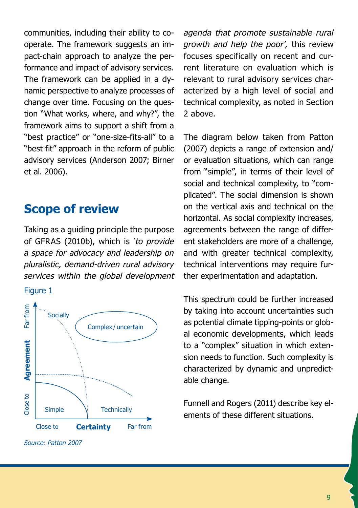communities, including their ability to cooperate. The framework suggests an impact-chain approach to analyze the performance and impact of advisory services. The framework can be applied in a dynamic perspective to analyze processes of change over time. Focusing on the question "What works, where, and why?", the framework aims to support a shift from a "best practice" or "one-size-fits-all" to a "best fit" approach in the reform of public advisory services (Anderson 2007; Birner et al. 2006).

## **Scope of review**

Taking as a guiding principle the purpose of GFRAS (2010b), which is *'to provide a space for advocacy and leadership on pluralistic, demand-driven rural advisory services within the global development* 

#### Figure 1



*Source: Patton 2007*

*agenda that promote sustainable rural growth and help the poor',* this review focuses specifically on recent and current literature on evaluation which is relevant to rural advisory services characterized by a high level of social and technical complexity, as noted in Section 2 above.

The diagram below taken from Patton (2007) depicts a range of extension and/ or evaluation situations, which can range from "simple", in terms of their level of social and technical complexity, to "complicated". The social dimension is shown on the vertical axis and technical on the horizontal. As social complexity increases, agreements between the range of different stakeholders are more of a challenge, and with greater technical complexity, technical interventions may require further experimentation and adaptation.

This spectrum could be further increased by taking into account uncertainties such as potential climate tipping-points or global economic developments, which leads to a "complex" situation in which extension needs to function. Such complexity is characterized by dynamic and unpredictable change.

Funnell and Rogers (2011) describe key elements of these different situations.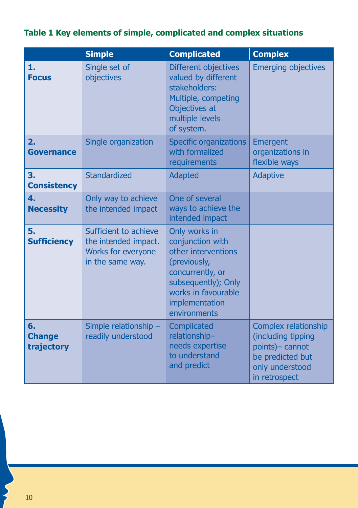### **Table 1 Key elements of simple, complicated and complex situations**

|                                       | <b>Simple</b>                                                                           | <b>Complicated</b>                                                                                                                                                           | <b>Complex</b>                                                                                                        |
|---------------------------------------|-----------------------------------------------------------------------------------------|------------------------------------------------------------------------------------------------------------------------------------------------------------------------------|-----------------------------------------------------------------------------------------------------------------------|
| 1.<br><b>Focus</b>                    | Single set of<br>objectives                                                             | Different objectives<br>valued by different<br>stakeholders:<br>Multiple, competing<br>Objectives at<br>multiple levels<br>of system.                                        | <b>Emerging objectives</b>                                                                                            |
| $\overline{2}$ .<br><b>Governance</b> | Single organization                                                                     | <b>Specific organizations</b><br>with formalized<br>requirements                                                                                                             | Emergent<br>organizations in<br>flexible ways                                                                         |
| 3.<br><b>Consistency</b>              | Standardized                                                                            | <b>Adapted</b>                                                                                                                                                               | <b>Adaptive</b>                                                                                                       |
| 4.<br><b>Necessity</b>                | Only way to achieve<br>the intended impact                                              | One of several<br>ways to achieve the<br>intended impact                                                                                                                     |                                                                                                                       |
| 5.<br><b>Sufficiency</b>              | Sufficient to achieve<br>the intended impact.<br>Works for everyone<br>in the same way. | Only works in<br>conjunction with<br>other interventions<br>(previously,<br>concurrently, or<br>subsequently); Only<br>works in favourable<br>implementation<br>environments |                                                                                                                       |
| 6.<br><b>Change</b><br>trajectory     | Simple relationship -<br>readily understood                                             | Complicated<br>relationship-<br>needs expertise<br>to understand<br>and predict                                                                                              | Complex relationship<br>(including tipping<br>points)- cannot<br>be predicted but<br>only understood<br>in retrospect |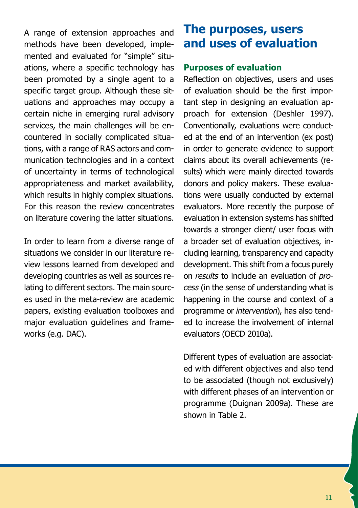A range of extension approaches and methods have been developed, implemented and evaluated for "simple" situations, where a specific technology has been promoted by a single agent to a specific target group. Although these situations and approaches may occupy a certain niche in emerging rural advisory services, the main challenges will be encountered in socially complicated situations, with a range of RAS actors and communication technologies and in a context of uncertainty in terms of technological appropriateness and market availability, which results in highly complex situations. For this reason the review concentrates on literature covering the latter situations.

In order to learn from a diverse range of situations we consider in our literature review lessons learned from developed and developing countries as well as sources relating to different sectors. The main sources used in the meta-review are academic papers, existing evaluation toolboxes and major evaluation guidelines and frameworks (e.g. DAC).

# **The purposes, users and uses of evaluation**

#### **Purposes of evaluation**

Reflection on objectives, users and uses of evaluation should be the first important step in designing an evaluation approach for extension (Deshler 1997). Conventionally, evaluations were conducted at the end of an intervention (ex post) in order to generate evidence to support claims about its overall achievements (results) which were mainly directed towards donors and policy makers. These evaluations were usually conducted by external evaluators. More recently the purpose of evaluation in extension systems has shifted towards a stronger client/ user focus with a broader set of evaluation objectives, including learning, transparency and capacity development. This shift from a focus purely on *results* to include an evaluation of *process* (in the sense of understanding what is happening in the course and context of a programme or *intervention*), has also tended to increase the involvement of internal evaluators (OECD 2010a).

Different types of evaluation are associated with different objectives and also tend to be associated (though not exclusively) with different phases of an intervention or programme (Duignan 2009a). These are shown in Table 2.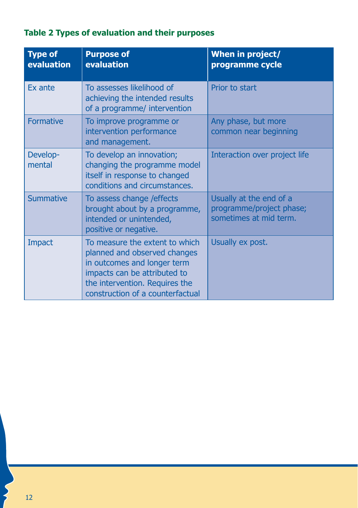| Table 2 Types of evaluation and their purposes |  |
|------------------------------------------------|--|
|------------------------------------------------|--|

| <b>Type of</b><br>evaluation | <b>Purpose of</b><br>evaluation                                                                                                                                                                     | When in project/<br>programme cycle                                           |
|------------------------------|-----------------------------------------------------------------------------------------------------------------------------------------------------------------------------------------------------|-------------------------------------------------------------------------------|
| <b>Fx</b> ante               | To assesses likelihood of<br>achieving the intended results<br>of a programme/ intervention                                                                                                         | Prior to start                                                                |
| Formative                    | To improve programme or<br>intervention performance<br>and management.                                                                                                                              | Any phase, but more<br>common near beginning                                  |
| Develop-<br>mental           | To develop an innovation;<br>changing the programme model<br>itself in response to changed<br>conditions and circumstances.                                                                         | Interaction over project life                                                 |
| <b>Summative</b>             | To assess change / effects<br>brought about by a programme,<br>intended or unintended,<br>positive or negative.                                                                                     | Usually at the end of a<br>programme/project phase;<br>sometimes at mid term. |
| Impact                       | To measure the extent to which<br>planned and observed changes<br>in outcomes and longer term<br>impacts can be attributed to<br>the intervention. Requires the<br>construction of a counterfactual | Usually ex post.                                                              |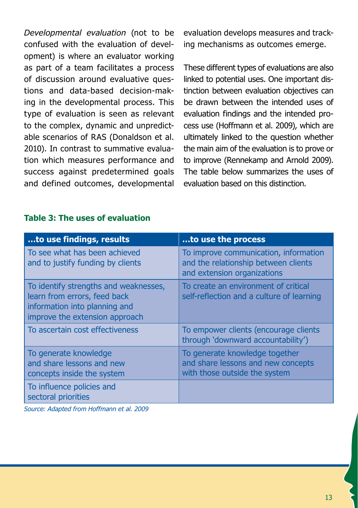*Developmental evaluation* (not to be confused with the evaluation of development) is where an evaluator working as part of a team facilitates a process of discussion around evaluative questions and data-based decision-making in the developmental process. This type of evaluation is seen as relevant to the complex, dynamic and unpredictable scenarios of RAS (Donaldson et al. 2010). In contrast to summative evaluation which measures performance and success against predetermined goals and defined outcomes, developmental evaluation develops measures and tracking mechanisms as outcomes emerge.

These different types of evaluations are also linked to potential uses. One important distinction between evaluation objectives can be drawn between the intended uses of evaluation findings and the intended process use (Hoffmann et al. 2009), which are ultimately linked to the question whether the main aim of the evaluation is to prove or to improve (Rennekamp and Arnold 2009). The table below summarizes the uses of evaluation based on this distinction.

#### **Table 3: The uses of evaluation**

| to use findings, results                                                                                                                 | to use the process                                                                                           |
|------------------------------------------------------------------------------------------------------------------------------------------|--------------------------------------------------------------------------------------------------------------|
| To see what has been achieved<br>and to justify funding by clients                                                                       | To improve communication, information<br>and the relationship between clients<br>and extension organizations |
| To identify strengths and weaknesses,<br>learn from errors, feed back<br>information into planning and<br>improve the extension approach | To create an environment of critical<br>self-reflection and a culture of learning                            |
| To ascertain cost effectiveness                                                                                                          | To empower clients (encourage clients<br>through 'downward accountability')                                  |
| To generate knowledge<br>and share lessons and new<br>concepts inside the system                                                         | To generate knowledge together<br>and share lessons and new concepts<br>with those outside the system        |
| To influence policies and<br>sectoral priorities                                                                                         |                                                                                                              |

*Source: Adapted from Hoffmann et al. 2009*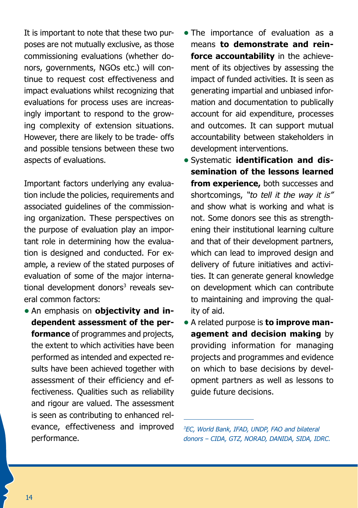It is important to note that these two purposes are not mutually exclusive, as those commissioning evaluations (whether donors, governments, NGOs etc.) will continue to request cost effectiveness and impact evaluations whilst recognizing that evaluations for process uses are increasingly important to respond to the growing complexity of extension situations. However, there are likely to be trade- offs and possible tensions between these two aspects of evaluations.

Important factors underlying any evaluation include the policies, requirements and associated guidelines of the commissioning organization. These perspectives on the purpose of evaluation play an important role in determining how the evaluation is designed and conducted. For example, a review of the stated purposes of evaluation of some of the major international development donors<sup>3</sup> reveals several common factors:

**•** An emphasis on **objectivity and independent assessment of the performance** of programmes and projects, the extent to which activities have been performed as intended and expected results have been achieved together with assessment of their efficiency and effectiveness. Qualities such as reliability and rigour are valued. The assessment is seen as contributing to enhanced relevance, effectiveness and improved performance.

- The importance of evaluation as a means **to demonstrate and reinforce accountability** in the achievement of its objectives by assessing the impact of funded activities. It is seen as generating impartial and unbiased information and documentation to publically account for aid expenditure, processes and outcomes. It can support mutual accountability between stakeholders in development interventions.
- **•** Systematic **identification and dissemination of the lessons learned from experience,** both successes and shortcomings, *"to tell it the way it is"* and show what is working and what is not. Some donors see this as strengthening their institutional learning culture and that of their development partners, which can lead to improved design and delivery of future initiatives and activities. It can generate general knowledge on development which can contribute to maintaining and improving the quality of aid.
- **•** A related purpose is **to improve management and decision making** by providing information for managing projects and programmes and evidence on which to base decisions by development partners as well as lessons to guide future decisions.

*3 EC, World Bank, IFAD, UNDP, FAO and bilateral donors – CIDA, GTZ, NORAD, DANIDA, SIDA, IDRC.*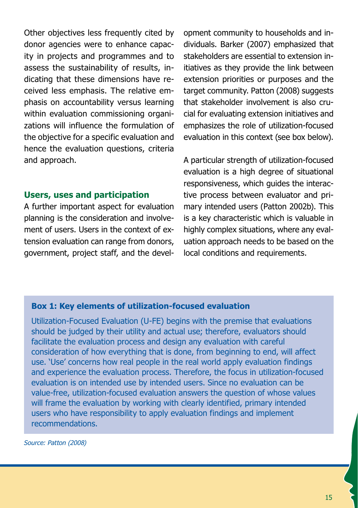Other objectives less frequently cited by donor agencies were to enhance capacity in projects and programmes and to assess the sustainability of results, indicating that these dimensions have received less emphasis. The relative emphasis on accountability versus learning within evaluation commissioning organizations will influence the formulation of the objective for a specific evaluation and hence the evaluation questions, criteria and approach.

### **Users, uses and participation**

A further important aspect for evaluation planning is the consideration and involvement of users. Users in the context of extension evaluation can range from donors, government, project staff, and the development community to households and individuals. Barker (2007) emphasized that stakeholders are essential to extension initiatives as they provide the link between extension priorities or purposes and the target community. Patton (2008) suggests that stakeholder involvement is also crucial for evaluating extension initiatives and emphasizes the role of utilization-focused evaluation in this context (see box below).

A particular strength of utilization-focused evaluation is a high degree of situational responsiveness, which guides the interactive process between evaluator and primary intended users (Patton 2002b). This is a key characteristic which is valuable in highly complex situations, where any evaluation approach needs to be based on the local conditions and requirements.

#### **Box 1: Key elements of utilization-focused evaluation**

Utilization-Focused Evaluation (U-FE) begins with the premise that evaluations should be judged by their utility and actual use; therefore, evaluators should facilitate the evaluation process and design any evaluation with careful consideration of how everything that is done, from beginning to end, will affect use. 'Use' concerns how real people in the real world apply evaluation findings and experience the evaluation process. Therefore, the focus in utilization-focused evaluation is on intended use by intended users. Since no evaluation can be value-free, utilization-focused evaluation answers the question of whose values will frame the evaluation by working with clearly identified, primary intended users who have responsibility to apply evaluation findings and implement recommendations.

*Source: Patton (2008)*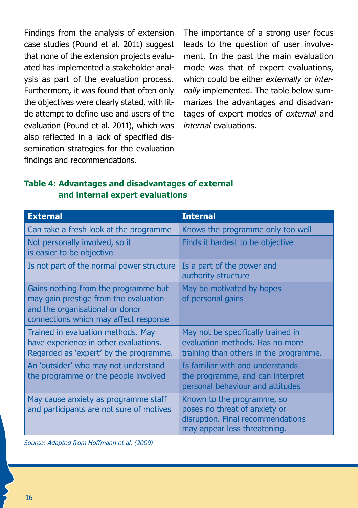Findings from the analysis of extension case studies (Pound et al. 2011) suggest that none of the extension projects evaluated has implemented a stakeholder analysis as part of the evaluation process. Furthermore, it was found that often only the objectives were clearly stated, with little attempt to define use and users of the evaluation (Pound et al. 2011), which was also reflected in a lack of specified dissemination strategies for the evaluation findings and recommendations.

The importance of a strong user focus leads to the question of user involvement. In the past the main evaluation mode was that of expert evaluations, which could be either *externally* or *internally* implemented. The table below summarizes the advantages and disadvantages of expert modes of *external* and *internal* evaluations.

#### **Table 4: Advantages and disadvantages of external and internal expert evaluations**

| <b>External</b>                                                                                                                                           | <b>Internal</b>                                                                                                                  |
|-----------------------------------------------------------------------------------------------------------------------------------------------------------|----------------------------------------------------------------------------------------------------------------------------------|
| Can take a fresh look at the programme                                                                                                                    | Knows the programme only too well                                                                                                |
| Not personally involved, so it<br>is easier to be objective                                                                                               | Finds it hardest to be objective                                                                                                 |
| Is not part of the normal power structure                                                                                                                 | Is a part of the power and<br>authority structure                                                                                |
| Gains nothing from the programme but<br>may gain prestige from the evaluation<br>and the organisational or donor<br>connections which may affect response | May be motivated by hopes<br>of personal gains                                                                                   |
| Trained in evaluation methods. May<br>have experience in other evaluations.<br>Regarded as 'expert' by the programme.                                     | May not be specifically trained in<br>evaluation methods. Has no more<br>training than others in the programme.                  |
| An 'outsider' who may not understand<br>the programme or the people involved                                                                              | Is familiar with and understands<br>the programme, and can interpret<br>personal behaviour and attitudes                         |
| May cause anxiety as programme staff<br>and participants are not sure of motives                                                                          | Known to the programme, so<br>poses no threat of anxiety or<br>disruption. Final recommendations<br>may appear less threatening. |

*Source: Adapted from Hoffmann et al. (2009)*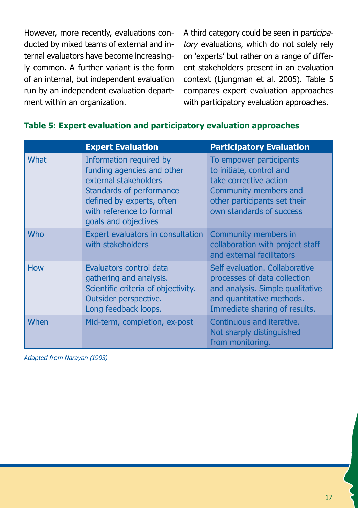However, more recently, evaluations conducted by mixed teams of external and internal evaluators have become increasingly common. A further variant is the form of an internal, but independent evaluation run by an independent evaluation department within an organization.

A third category could be seen in p*articipatory* evaluations, which do not solely rely on 'experts' but rather on a range of different stakeholders present in an evaluation context (Ljungman et al. 2005). Table 5 compares expert evaluation approaches with participatory evaluation approaches.

|             | <b>Expert Evaluation</b>                                                                                                                                                                    | <b>Participatory Evaluation</b>                                                                                                                                    |
|-------------|---------------------------------------------------------------------------------------------------------------------------------------------------------------------------------------------|--------------------------------------------------------------------------------------------------------------------------------------------------------------------|
| <b>What</b> | Information required by<br>funding agencies and other<br>external stakeholders<br>Standards of performance<br>defined by experts, often<br>with reference to formal<br>goals and objectives | To empower participants<br>to initiate, control and<br>take corrective action<br>Community members and<br>other participants set their<br>own standards of success |
| <b>Who</b>  | Expert evaluators in consultation<br>with stakeholders                                                                                                                                      | Community members in<br>collaboration with project staff<br>and external facilitators                                                                              |
| <b>How</b>  | Evaluators control data<br>gathering and analysis.<br>Scientific criteria of objectivity.<br>Outsider perspective.<br>Long feedback loops.                                                  | Self evaluation, Collaborative<br>processes of data collection<br>and analysis. Simple qualitative<br>and quantitative methods.<br>Immediate sharing of results.   |
| When        | Mid-term, completion, ex-post                                                                                                                                                               | Continuous and iterative.<br>Not sharply distinguished<br>from monitoring.                                                                                         |

#### **Table 5: Expert evaluation and participatory evaluation approaches**

*Adapted from Narayan (1993)*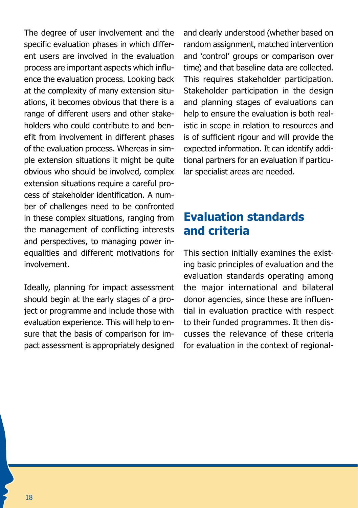The degree of user involvement and the specific evaluation phases in which different users are involved in the evaluation process are important aspects which influence the evaluation process. Looking back at the complexity of many extension situations, it becomes obvious that there is a range of different users and other stakeholders who could contribute to and benefit from involvement in different phases of the evaluation process. Whereas in simple extension situations it might be quite obvious who should be involved, complex extension situations require a careful process of stakeholder identification. A number of challenges need to be confronted in these complex situations, ranging from the management of conflicting interests and perspectives, to managing power inequalities and different motivations for involvement.

Ideally, planning for impact assessment should begin at the early stages of a project or programme and include those with evaluation experience. This will help to ensure that the basis of comparison for impact assessment is appropriately designed and clearly understood (whether based on random assignment, matched intervention and 'control' groups or comparison over time) and that baseline data are collected. This requires stakeholder participation. Stakeholder participation in the design and planning stages of evaluations can help to ensure the evaluation is both realistic in scope in relation to resources and is of sufficient rigour and will provide the expected information. It can identify additional partners for an evaluation if particular specialist areas are needed.

# **Evaluation standards and criteria**

This section initially examines the existing basic principles of evaluation and the evaluation standards operating among the major international and bilateral donor agencies, since these are influential in evaluation practice with respect to their funded programmes. It then discusses the relevance of these criteria for evaluation in the context of regional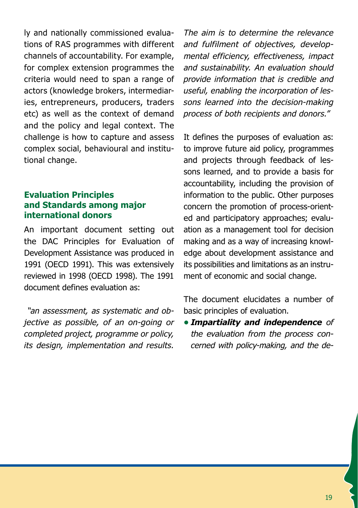ly and nationally commissioned evaluations of RAS programmes with different channels of accountability. For example, for complex extension programmes the criteria would need to span a range of actors (knowledge brokers, intermediaries, entrepreneurs, producers, traders etc) as well as the context of demand and the policy and legal context. The challenge is how to capture and assess complex social, behavioural and institutional change.

#### **Evaluation Principles and Standards among major international donors**

An important document setting out the DAC Principles for Evaluation of Development Assistance was produced in 1991 (OECD 1991). This was extensively reviewed in 1998 (OECD 1998). The 1991 document defines evaluation as:

 *"an assessment, as systematic and objective as possible, of an on-going or completed project, programme or policy, its design, implementation and results.* 

*The aim is to determine the relevance and fulfilment of objectives, developmental efficiency, effectiveness, impact and sustainability. An evaluation should provide information that is credible and useful, enabling the incorporation of lessons learned into the decision-making process of both recipients and donors."*

It defines the purposes of evaluation as: to improve future aid policy, programmes and projects through feedback of lessons learned, and to provide a basis for accountability, including the provision of information to the public. Other purposes concern the promotion of process-oriented and participatory approaches; evaluation as a management tool for decision making and as a way of increasing knowledge about development assistance and its possibilities and limitations as an instrument of economic and social change.

The document elucidates a number of basic principles of evaluation.

**•** *Impartiality and independence of the evaluation from the process concerned with policy-making, and the de-*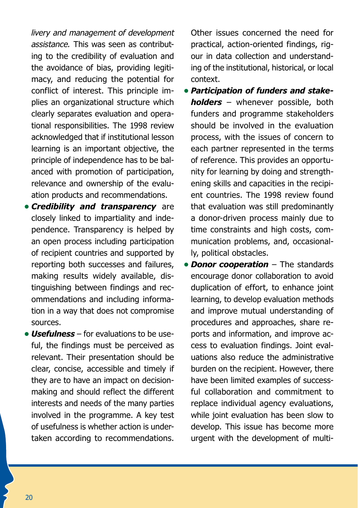*livery and management of development assistance.* This was seen as contributing to the credibility of evaluation and the avoidance of bias, providing legitimacy, and reducing the potential for conflict of interest. This principle implies an organizational structure which clearly separates evaluation and operational responsibilities. The 1998 review acknowledged that if institutional lesson learning is an important objective, the principle of independence has to be balanced with promotion of participation, relevance and ownership of the evaluation products and recommendations.

- **•** *Credibility and transparency* are closely linked to impartiality and independence. Transparency is helped by an open process including participation of recipient countries and supported by reporting both successes and failures, making results widely available, distinguishing between findings and recommendations and including information in a way that does not compromise sources.
- **Usefulness** for evaluations to be useful, the findings must be perceived as relevant. Their presentation should be clear, concise, accessible and timely if they are to have an impact on decisionmaking and should reflect the different interests and needs of the many parties involved in the programme. A key test of usefulness is whether action is undertaken according to recommendations.

Other issues concerned the need for practical, action-oriented findings, rigour in data collection and understanding of the institutional, historical, or local context.

- **•** *Participation of funders and stakeholders* – whenever possible, both funders and programme stakeholders should be involved in the evaluation process, with the issues of concern to each partner represented in the terms of reference. This provides an opportunity for learning by doing and strengthening skills and capacities in the recipient countries. The 1998 review found that evaluation was still predominantly a donor-driven process mainly due to time constraints and high costs, communication problems, and, occasionally, political obstacles.
- **•** *Donor cooperation* The standards encourage donor collaboration to avoid duplication of effort, to enhance joint learning, to develop evaluation methods and improve mutual understanding of procedures and approaches, share reports and information, and improve access to evaluation findings. Joint evaluations also reduce the administrative burden on the recipient. However, there have been limited examples of successful collaboration and commitment to replace individual agency evaluations, while joint evaluation has been slow to develop. This issue has become more urgent with the development of multi-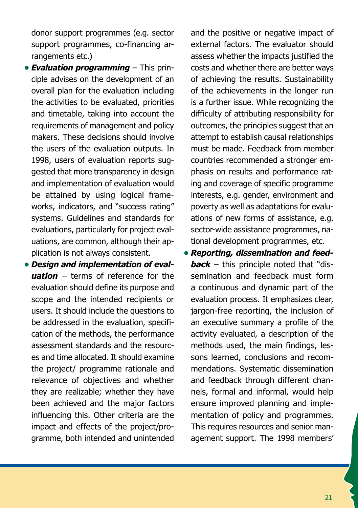donor support programmes (e.g. sector support programmes, co-financing arrangements etc.)

- **•** *Evaluation programming* This principle advises on the development of an overall plan for the evaluation including the activities to be evaluated, priorities and timetable, taking into account the requirements of management and policy makers. These decisions should involve the users of the evaluation outputs. In 1998, users of evaluation reports suggested that more transparency in design and implementation of evaluation would be attained by using logical frameworks, indicators, and "success rating" systems. Guidelines and standards for evaluations, particularly for project evaluations, are common, although their application is not always consistent.
- **•** *Design and implementation of evaluation* – terms of reference for the evaluation should define its purpose and scope and the intended recipients or users. It should include the questions to be addressed in the evaluation, specification of the methods, the performance assessment standards and the resources and time allocated. It should examine the project/ programme rationale and relevance of objectives and whether they are realizable; whether they have been achieved and the major factors influencing this. Other criteria are the impact and effects of the project/programme, both intended and unintended

and the positive or negative impact of external factors. The evaluator should assess whether the impacts justified the costs and whether there are better ways of achieving the results. Sustainability of the achievements in the longer run is a further issue. While recognizing the difficulty of attributing responsibility for outcomes, the principles suggest that an attempt to establish causal relationships must be made. Feedback from member countries recommended a stronger emphasis on results and performance rating and coverage of specific programme interests, e.g. gender, environment and poverty as well as adaptations for evaluations of new forms of assistance, e.g. sector-wide assistance programmes, national development programmes, etc.

**•** *Reporting, dissemination and feedback* – this principle noted that "dissemination and feedback must form a continuous and dynamic part of the evaluation process. It emphasizes clear, jargon-free reporting, the inclusion of an executive summary a profile of the activity evaluated, a description of the methods used, the main findings, lessons learned, conclusions and recommendations. Systematic dissemination and feedback through different channels, formal and informal, would help ensure improved planning and implementation of policy and programmes. This requires resources and senior management support. The 1998 members'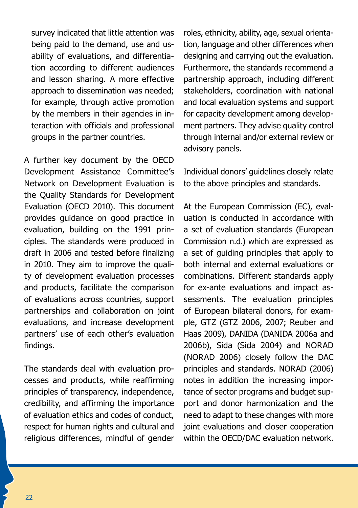survey indicated that little attention was being paid to the demand, use and usability of evaluations, and differentiation according to different audiences and lesson sharing. A more effective approach to dissemination was needed; for example, through active promotion by the members in their agencies in interaction with officials and professional groups in the partner countries.

A further key document by the OECD Development Assistance Committee's Network on Development Evaluation is the Quality Standards for Development Evaluation (OECD 2010). This document provides guidance on good practice in evaluation, building on the 1991 principles. The standards were produced in draft in 2006 and tested before finalizing in 2010. They aim to improve the quality of development evaluation processes and products, facilitate the comparison of evaluations across countries, support partnerships and collaboration on joint evaluations, and increase development partners' use of each other's evaluation findings.

The standards deal with evaluation processes and products, while reaffirming principles of transparency, independence, credibility, and affirming the importance of evaluation ethics and codes of conduct, respect for human rights and cultural and religious differences, mindful of gender

roles, ethnicity, ability, age, sexual orientation, language and other differences when designing and carrying out the evaluation. Furthermore, the standards recommend a partnership approach, including different stakeholders, coordination with national and local evaluation systems and support for capacity development among development partners. They advise quality control through internal and/or external review or advisory panels.

Individual donors' guidelines closely relate to the above principles and standards.

At the European Commission (EC), evaluation is conducted in accordance with a set of evaluation standards (European Commission n.d.) which are expressed as a set of guiding principles that apply to both internal and external evaluations or combinations. Different standards apply for ex-ante evaluations and impact assessments. The evaluation principles of European bilateral donors, for example, GTZ (GTZ 2006, 2007; Reuber and Haas 2009), DANIDA (DANIDA 2006a and 2006b), Sida (Sida 2004) and NORAD (NORAD 2006) closely follow the DAC principles and standards. NORAD (2006) notes in addition the increasing importance of sector programs and budget support and donor harmonization and the need to adapt to these changes with more joint evaluations and closer cooperation within the OECD/DAC evaluation network.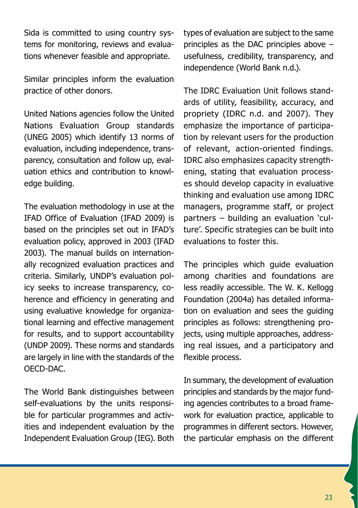Sida is committed to using country systems for monitoring, reviews and evaluations whenever feasible and appropriate.

Similar principles inform the evaluation practice of other donors.

United Nations agencies follow the United Nations Evaluation Group standards (UNEG 2005) which identify 13 norms of evaluation, including independence, transparency, consultation and follow up, evaluation ethics and contribution to knowledge building.

The evaluation methodology in use at the IFAD Office of Evaluation (IFAD 2009) is based on the principles set out in IFAD's evaluation policy, approved in 2003 (IFAD 2003). The manual builds on internationally recognized evaluation practices and criteria. Similarly, UNDP's evaluation policy seeks to increase transparency, coherence and efficiency in generating and using evaluative knowledge for organizational learning and effective management for results, and to support accountability (UNDP 2009). These norms and standards are largely in line with the standards of the OECD-DAC.

The World Bank distinguishes between self-evaluations by the units responsible for particular programmes and activities and independent evaluation by the Independent Evaluation Group (IEG). Both

types of evaluation are subject to the same principles as the DAC principles above – usefulness, credibility, transparency, and independence (World Bank n.d.).

The IDRC Evaluation Unit follows standards of utility, feasibility, accuracy, and propriety (IDRC n.d. and 2007). They emphasize the importance of participation by relevant users for the production of relevant, action-oriented findings. IDRC also emphasizes capacity strengthening, stating that evaluation processes should develop capacity in evaluative thinking and evaluation use among IDRC managers, programme staff, or project partners – building an evaluation 'culture'. Specific strategies can be built into evaluations to foster this.

The principles which guide evaluation among charities and foundations are less readily accessible. The W. K. Kellogg Foundation (2004a) has detailed information on evaluation and sees the guiding principles as follows: strengthening projects, using multiple approaches, addressing real issues, and a participatory and flexible process.

In summary, the development of evaluation principles and standards by the major funding agencies contributes to a broad framework for evaluation practice, applicable to programmes in different sectors. However, the particular emphasis on the different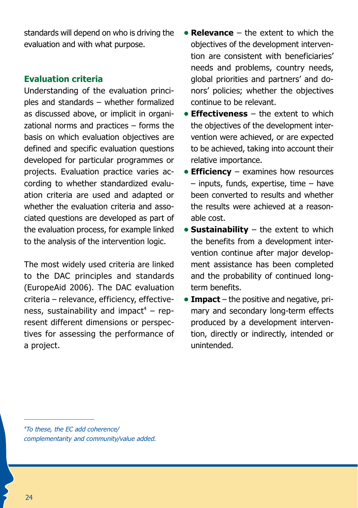standards will depend on who is driving the evaluation and with what purpose.

#### **Evaluation criteria**

Understanding of the evaluation principles and standards – whether formalized as discussed above, or implicit in organizational norms and practices – forms the basis on which evaluation objectives are defined and specific evaluation questions developed for particular programmes or projects. Evaluation practice varies according to whether standardized evaluation criteria are used and adapted or whether the evaluation criteria and associated questions are developed as part of the evaluation process, for example linked to the analysis of the intervention logic.

The most widely used criteria are linked to the DAC principles and standards (EuropeAid 2006). The DAC evaluation criteria – relevance, efficiency, effectiveness, sustainability and impact<sup>4</sup> – represent different dimensions or perspectives for assessing the performance of a project.

- **• Relevance** the extent to which the objectives of the development intervention are consistent with beneficiaries' needs and problems, country needs, global priorities and partners' and donors' policies; whether the objectives continue to be relevant.
- **• Effectiveness** the extent to which the objectives of the development intervention were achieved, or are expected to be achieved, taking into account their relative importance.
- **Efficiency** examines how resources – inputs, funds, expertise, time – have been converted to results and whether the results were achieved at a reasonable cost.
- **Sustainability** the extent to which the benefits from a development intervention continue after major development assistance has been completed and the probability of continued longterm benefits.
- **Impact** the positive and negative, primary and secondary long-term effects produced by a development intervention, directly or indirectly, intended or unintended.

*4 To these, the EC add coherence/ complementarity and community/value added.*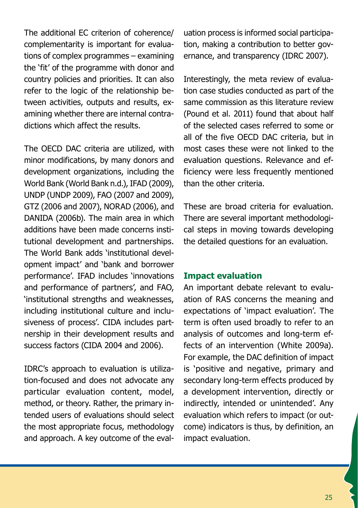The additional EC criterion of coherence/ complementarity is important for evaluations of complex programmes – examining the 'fit' of the programme with donor and country policies and priorities. It can also refer to the logic of the relationship between activities, outputs and results, examining whether there are internal contradictions which affect the results.

The OECD DAC criteria are utilized, with minor modifications, by many donors and development organizations, including the World Bank (World Bank n.d.), IFAD (2009), UNDP (UNDP 2009), FAO (2007 and 2009), GTZ (2006 and 2007), NORAD (2006), and DANIDA (2006b). The main area in which additions have been made concerns institutional development and partnerships. The World Bank adds 'institutional development impact' and 'bank and borrower performance'. IFAD includes 'innovations and performance of partners', and FAO, 'institutional strengths and weaknesses, including institutional culture and inclusiveness of process'. CIDA includes partnership in their development results and success factors (CIDA 2004 and 2006).

IDRC's approach to evaluation is utilization-focused and does not advocate any particular evaluation content, model, method, or theory. Rather, the primary intended users of evaluations should select the most appropriate focus, methodology and approach. A key outcome of the eval-

uation process is informed social participation, making a contribution to better governance, and transparency (IDRC 2007).

Interestingly, the meta review of evaluation case studies conducted as part of the same commission as this literature review (Pound et al. 2011) found that about half of the selected cases referred to some or all of the five OECD DAC criteria, but in most cases these were not linked to the evaluation questions. Relevance and efficiency were less frequently mentioned than the other criteria.

These are broad criteria for evaluation. There are several important methodological steps in moving towards developing the detailed questions for an evaluation.

#### **Impact evaluation**

An important debate relevant to evaluation of RAS concerns the meaning and expectations of 'impact evaluation'. The term is often used broadly to refer to an analysis of outcomes and long-term effects of an intervention (White 2009a). For example, the DAC definition of impact is 'positive and negative, primary and secondary long-term effects produced by a development intervention, directly or indirectly, intended or unintended'. Any evaluation which refers to impact (or outcome) indicators is thus, by definition, an impact evaluation.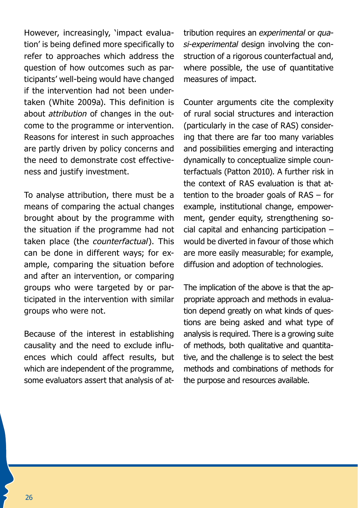However, increasingly, 'impact evaluation' is being defined more specifically to refer to approaches which address the question of how outcomes such as participants' well-being would have changed if the intervention had not been undertaken (White 2009a). This definition is about *attribution* of changes in the outcome to the programme or intervention. Reasons for interest in such approaches are partly driven by policy concerns and the need to demonstrate cost effectiveness and justify investment.

To analyse attribution, there must be a means of comparing the actual changes brought about by the programme with the situation if the programme had not taken place (the *counterfactual*). This can be done in different ways; for example, comparing the situation before and after an intervention, or comparing groups who were targeted by or participated in the intervention with similar groups who were not.

Because of the interest in establishing causality and the need to exclude influences which could affect results, but which are independent of the programme, some evaluators assert that analysis of attribution requires an *experimental* or *quasi-experimental* design involving the construction of a rigorous counterfactual and, where possible, the use of quantitative measures of impact.

Counter arguments cite the complexity of rural social structures and interaction (particularly in the case of RAS) considering that there are far too many variables and possibilities emerging and interacting dynamically to conceptualize simple counterfactuals (Patton 2010). A further risk in the context of RAS evaluation is that attention to the broader goals of RAS – for example, institutional change, empowerment, gender equity, strengthening social capital and enhancing participation – would be diverted in favour of those which are more easily measurable; for example, diffusion and adoption of technologies.

The implication of the above is that the appropriate approach and methods in evaluation depend greatly on what kinds of questions are being asked and what type of analysis is required. There is a growing suite of methods, both qualitative and quantitative, and the challenge is to select the best methods and combinations of methods for the purpose and resources available.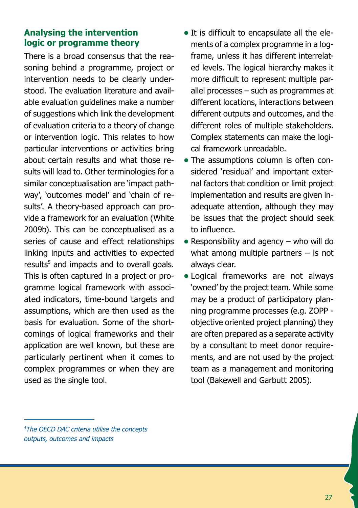### **Analysing the intervention logic or programme theory**

There is a broad consensus that the reasoning behind a programme, project or intervention needs to be clearly understood. The evaluation literature and available evaluation guidelines make a number of suggestions which link the development of evaluation criteria to a theory of change or intervention logic. This relates to how particular interventions or activities bring about certain results and what those results will lead to. Other terminologies for a similar conceptualisation are 'impact pathway', 'outcomes model' and 'chain of results'. A theory-based approach can provide a framework for an evaluation (White 2009b). This can be conceptualised as a series of cause and effect relationships linking inputs and activities to expected results<sup>5</sup> and impacts and to overall goals. This is often captured in a project or programme logical framework with associated indicators, time-bound targets and assumptions, which are then used as the basis for evaluation. Some of the shortcomings of logical frameworks and their application are well known, but these are particularly pertinent when it comes to complex programmes or when they are used as the single tool.

- It is difficult to encapsulate all the elements of a complex programme in a logframe, unless it has different interrelated levels. The logical hierarchy makes it more difficult to represent multiple parallel processes – such as programmes at different locations, interactions between different outputs and outcomes, and the different roles of multiple stakeholders. Complex statements can make the logical framework unreadable.
- The assumptions column is often considered 'residual' and important external factors that condition or limit project implementation and results are given inadequate attention, although they may be issues that the project should seek to influence.
- Responsibility and agency who will do what among multiple partners – is not always clear.
- **•** Logical frameworks are not always 'owned' by the project team. While some may be a product of participatory planning programme processes (e.g. ZOPP objective oriented project planning) they are often prepared as a separate activity by a consultant to meet donor requirements, and are not used by the project team as a management and monitoring tool (Bakewell and Garbutt 2005).

*<sup>5</sup> The OECD DAC criteria utilise the concepts outputs, outcomes and impacts*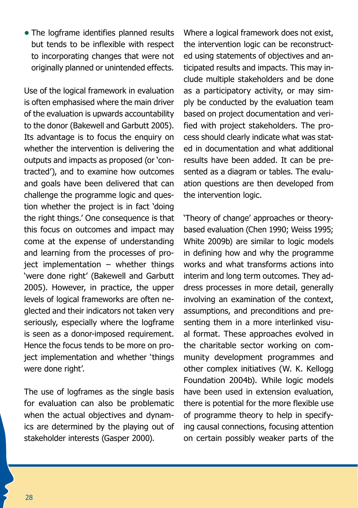• The logframe identifies planned results but tends to be inflexible with respect to incorporating changes that were not originally planned or unintended effects.

Use of the logical framework in evaluation is often emphasised where the main driver of the evaluation is upwards accountability to the donor (Bakewell and Garbutt 2005). Its advantage is to focus the enquiry on whether the intervention is delivering the outputs and impacts as proposed (or 'contracted'), and to examine how outcomes and goals have been delivered that can challenge the programme logic and question whether the project is in fact 'doing the right things.' One consequence is that this focus on outcomes and impact may come at the expense of understanding and learning from the processes of project implementation – whether things 'were done right' (Bakewell and Garbutt 2005). However, in practice, the upper levels of logical frameworks are often neglected and their indicators not taken very seriously, especially where the logframe is seen as a donor-imposed requirement. Hence the focus tends to be more on project implementation and whether 'things were done right'.

The use of logframes as the single basis for evaluation can also be problematic when the actual objectives and dynamics are determined by the playing out of stakeholder interests (Gasper 2000).

Where a logical framework does not exist, the intervention logic can be reconstructed using statements of objectives and anticipated results and impacts. This may include multiple stakeholders and be done as a participatory activity, or may simply be conducted by the evaluation team based on project documentation and verified with project stakeholders. The process should clearly indicate what was stated in documentation and what additional results have been added. It can be presented as a diagram or tables. The evaluation questions are then developed from the intervention logic.

'Theory of change' approaches or theorybased evaluation (Chen 1990; Weiss 1995; White 2009b) are similar to logic models in defining how and why the programme works and what transforms actions into interim and long term outcomes. They address processes in more detail, generally involving an examination of the context, assumptions, and preconditions and presenting them in a more interlinked visual format. These approaches evolved in the charitable sector working on community development programmes and other complex initiatives (W. K. Kellogg Foundation 2004b). While logic models have been used in extension evaluation, there is potential for the more flexible use of programme theory to help in specifying causal connections, focusing attention on certain possibly weaker parts of the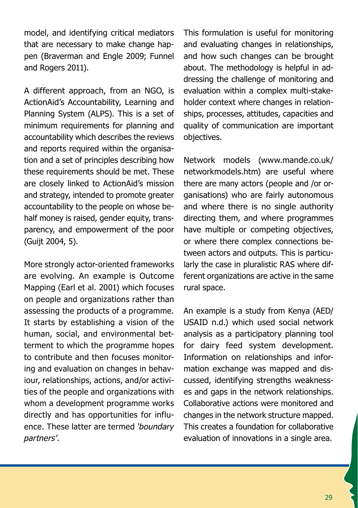model, and identifying critical mediators that are necessary to make change happen (Braverman and Engle 2009; Funnel and Rogers 2011).

A different approach, from an NGO, is ActionAid's Accountability, Learning and Planning System (ALPS). This is a set of minimum requirements for planning and accountability which describes the reviews and reports required within the organisation and a set of principles describing how these requirements should be met. These are closely linked to ActionAid's mission and strategy, intended to promote greater accountability to the people on whose behalf money is raised, gender equity, transparency, and empowerment of the poor (Guijt 2004, 5).

More strongly actor-oriented frameworks are evolving. An example is Outcome Mapping (Earl et al. 2001) which focuses on people and organizations rather than assessing the products of a programme. It starts by establishing a vision of the human, social, and environmental betterment to which the programme hopes to contribute and then focuses monitoring and evaluation on changes in behaviour, relationships, actions, and/or activities of the people and organizations with whom a development programme works directly and has opportunities for influence. These latter are termed *'boundary partners'*.

This formulation is useful for monitoring and evaluating changes in relationships, and how such changes can be brought about. The methodology is helpful in addressing the challenge of monitoring and evaluation within a complex multi-stakeholder context where changes in relationships, processes, attitudes, capacities and quality of communication are important objectives.

Network models (www.mande.co.uk/ networkmodels.htm) are useful where there are many actors (people and /or organisations) who are fairly autonomous and where there is no single authority directing them, and where programmes have multiple or competing objectives, or where there complex connections between actors and outputs. This is particularly the case in pluralistic RAS where different organizations are active in the same rural space.

An example is a study from Kenya (AED/ USAID n.d.) which used social network analysis as a participatory planning tool for dairy feed system development. Information on relationships and information exchange was mapped and discussed, identifying strengths weaknesses and gaps in the network relationships. Collaborative actions were monitored and changes in the network structure mapped. This creates a foundation for collaborative evaluation of innovations in a single area.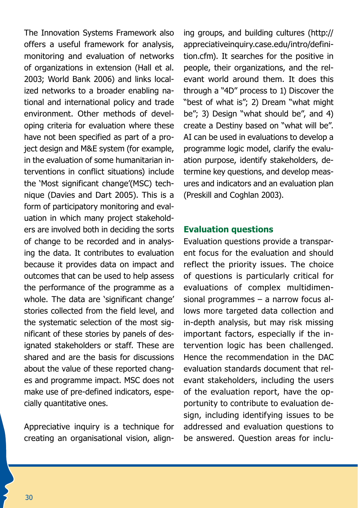The Innovation Systems Framework also offers a useful framework for analysis, monitoring and evaluation of networks of organizations in extension (Hall et al. 2003; World Bank 2006) and links localized networks to a broader enabling national and international policy and trade environment. Other methods of developing criteria for evaluation where these have not been specified as part of a project design and M&E system (for example, in the evaluation of some humanitarian interventions in conflict situations) include the 'Most significant change'(MSC) technique (Davies and Dart 2005). This is a form of participatory monitoring and evaluation in which many project stakeholders are involved both in deciding the sorts of change to be recorded and in analysing the data. It contributes to evaluation because it provides data on impact and outcomes that can be used to help assess the performance of the programme as a whole. The data are 'significant change' stories collected from the field level, and the systematic selection of the most significant of these stories by panels of designated stakeholders or staff. These are shared and are the basis for discussions about the value of these reported changes and programme impact. MSC does not make use of pre-defined indicators, especially quantitative ones.

Appreciative inquiry is a technique for creating an organisational vision, align-

ing groups, and building cultures (http:// appreciativeinquiry.case.edu/intro/definition.cfm). It searches for the positive in people, their organizations, and the relevant world around them. It does this through a "4D" process to 1) Discover the "best of what is"; 2) Dream "what might be"; 3) Design "what should be", and 4) create a Destiny based on "what will be". AI can be used in evaluations to develop a programme logic model, clarify the evaluation purpose, identify stakeholders, determine key questions, and develop measures and indicators and an evaluation plan (Preskill and Coghlan 2003).

#### **Evaluation questions**

Evaluation questions provide a transparent focus for the evaluation and should reflect the priority issues. The choice of questions is particularly critical for evaluations of complex multidimensional programmes – a narrow focus allows more targeted data collection and in-depth analysis, but may risk missing important factors, especially if the intervention logic has been challenged. Hence the recommendation in the DAC evaluation standards document that relevant stakeholders, including the users of the evaluation report, have the opportunity to contribute to evaluation design, including identifying issues to be addressed and evaluation questions to be answered. Question areas for inclu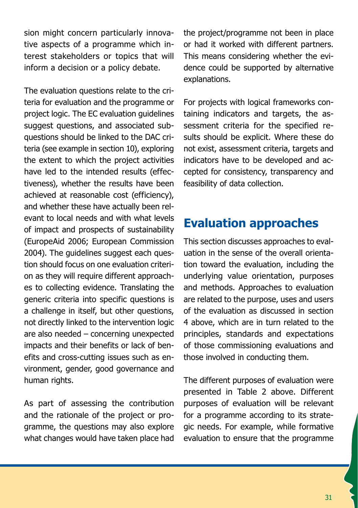sion might concern particularly innovative aspects of a programme which interest stakeholders or topics that will inform a decision or a policy debate.

The evaluation questions relate to the criteria for evaluation and the programme or project logic. The EC evaluation guidelines suggest questions, and associated subquestions should be linked to the DAC criteria (see example in section 10), exploring the extent to which the project activities have led to the intended results (effectiveness), whether the results have been achieved at reasonable cost (efficiency), and whether these have actually been relevant to local needs and with what levels of impact and prospects of sustainability (EuropeAid 2006; European Commission 2004). The quidelines suggest each question should focus on one evaluation criterion as they will require different approaches to collecting evidence. Translating the generic criteria into specific questions is a challenge in itself, but other questions, not directly linked to the intervention logic are also needed – concerning unexpected impacts and their benefits or lack of benefits and cross-cutting issues such as environment, gender, good governance and human rights.

As part of assessing the contribution and the rationale of the project or programme, the questions may also explore what changes would have taken place had the project/programme not been in place or had it worked with different partners. This means considering whether the evidence could be supported by alternative explanations.

For projects with logical frameworks containing indicators and targets, the assessment criteria for the specified results should be explicit. Where these do not exist, assessment criteria, targets and indicators have to be developed and accepted for consistency, transparency and feasibility of data collection.

# **Evaluation approaches**

This section discusses approaches to evaluation in the sense of the overall orientation toward the evaluation, including the underlying value orientation, purposes and methods. Approaches to evaluation are related to the purpose, uses and users of the evaluation as discussed in section 4 above, which are in turn related to the principles, standards and expectations of those commissioning evaluations and those involved in conducting them.

The different purposes of evaluation were presented in Table 2 above. Different purposes of evaluation will be relevant for a programme according to its strategic needs. For example, while formative evaluation to ensure that the programme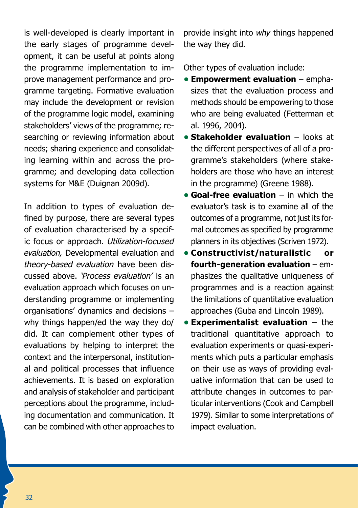is well-developed is clearly important in the early stages of programme development, it can be useful at points along the programme implementation to improve management performance and programme targeting. Formative evaluation may include the development or revision of the programme logic model, examining stakeholders' views of the programme; researching or reviewing information about needs; sharing experience and consolidating learning within and across the programme; and developing data collection systems for M&E (Duignan 2009d).

In addition to types of evaluation defined by purpose, there are several types of evaluation characterised by a specific focus or approach. *Utilization-focused evaluation,* Developmental evaluation and *theory-based evaluation* have been discussed above. *'Process evaluation'* is an evaluation approach which focuses on understanding programme or implementing organisations' dynamics and decisions – why things happen/ed the way they do/ did. It can complement other types of evaluations by helping to interpret the context and the interpersonal, institutional and political processes that influence achievements. It is based on exploration and analysis of stakeholder and participant perceptions about the programme, including documentation and communication. It can be combined with other approaches to

provide insight into *why* things happened the way they did.

Other types of evaluation include:

- **• Empowerment evaluation** emphasizes that the evaluation process and methods should be empowering to those who are being evaluated (Fetterman et al. 1996, 2004).
- **Stakeholder evaluation** looks at the different perspectives of all of a programme's stakeholders (where stakeholders are those who have an interest in the programme) (Greene 1988).
- **• Goal-free evaluation** in which the evaluator's task is to examine all of the outcomes of a programme, not just its formal outcomes as specified by programme planners in its objectives (Scriven 1972).
- **• Constructivist/naturalistic or fourth-generation evaluation** – emphasizes the qualitative uniqueness of programmes and is a reaction against the limitations of quantitative evaluation approaches (Guba and Lincoln 1989).
- **• Experimentalist evaluation** the traditional quantitative approach to evaluation experiments or quasi-experiments which puts a particular emphasis on their use as ways of providing evaluative information that can be used to attribute changes in outcomes to particular interventions (Cook and Campbell 1979). Similar to some interpretations of impact evaluation.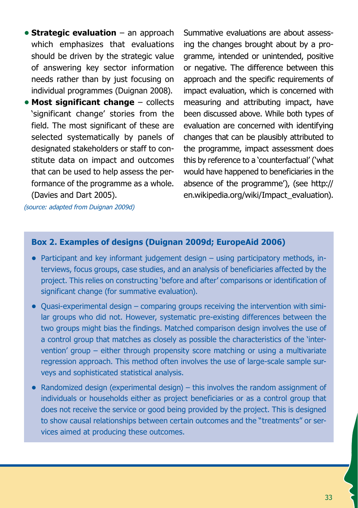- **• Strategic evaluation** an approach which emphasizes that evaluations should be driven by the strategic value of answering key sector information needs rather than by just focusing on individual programmes (Duignan 2008).
- **• Most significant change** collects 'significant change' stories from the field. The most significant of these are selected systematically by panels of designated stakeholders or staff to constitute data on impact and outcomes that can be used to help assess the performance of the programme as a whole. (Davies and Dart 2005).

Summative evaluations are about assessing the changes brought about by a programme, intended or unintended, positive or negative. The difference between this approach and the specific requirements of impact evaluation, which is concerned with measuring and attributing impact, have been discussed above. While both types of evaluation are concerned with identifying changes that can be plausibly attributed to the programme, impact assessment does this by reference to a 'counterfactual' ('what would have happened to beneficiaries in the absence of the programme'), (see http:// en.wikipedia.org/wiki/Impact\_evaluation).

*(source: adapted from Duignan 2009d)*

#### **Box 2. Examples of designs (Duignan 2009d; EuropeAid 2006)**

- Participant and key informant judgement design using participatory methods, interviews, focus groups, case studies, and an analysis of beneficiaries affected by the project. This relies on constructing 'before and after' comparisons or identification of significant change (for summative evaluation).
- Quasi-experimental design comparing groups receiving the intervention with similar groups who did not. However, systematic pre-existing differences between the two groups might bias the findings. Matched comparison design involves the use of a control group that matches as closely as possible the characteristics of the 'intervention' group – either through propensity score matching or using a multivariate regression approach. This method often involves the use of large-scale sample surveys and sophisticated statistical analysis.
- **•**  Randomized design (experimental design) this involves the random assignment of individuals or households either as project beneficiaries or as a control group that does not receive the service or good being provided by the project. This is designed to show causal relationships between certain outcomes and the "treatments" or services aimed at producing these outcomes.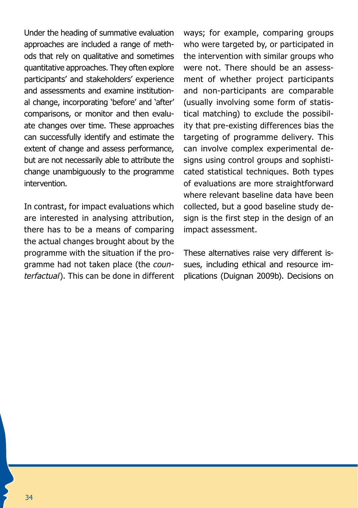Under the heading of summative evaluation approaches are included a range of methods that rely on qualitative and sometimes quantitative approaches. They often explore participants' and stakeholders' experience and assessments and examine institutional change, incorporating 'before' and 'after' comparisons, or monitor and then evaluate changes over time. These approaches can successfully identify and estimate the extent of change and assess performance, but are not necessarily able to attribute the change unambiguously to the programme intervention.

In contrast, for impact evaluations which are interested in analysing attribution, there has to be a means of comparing the actual changes brought about by the programme with the situation if the programme had not taken place (the *counterfactual*). This can be done in different ways; for example, comparing groups who were targeted by, or participated in the intervention with similar groups who were not. There should be an assessment of whether project participants and non-participants are comparable (usually involving some form of statistical matching) to exclude the possibility that pre-existing differences bias the targeting of programme delivery. This can involve complex experimental designs using control groups and sophisticated statistical techniques. Both types of evaluations are more straightforward where relevant baseline data have been collected, but a good baseline study design is the first step in the design of an impact assessment.

These alternatives raise very different issues, including ethical and resource implications (Duignan 2009b). Decisions on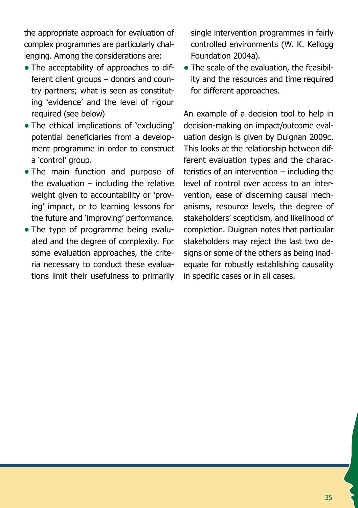the appropriate approach for evaluation of complex programmes are particularly challenging. Among the considerations are:

- The acceptability of approaches to different client groups – donors and country partners; what is seen as constituting 'evidence' and the level of rigour required (see below)
- The ethical implications of 'excluding' potential beneficiaries from a development programme in order to construct a 'control' group.
- The main function and purpose of the evaluation  $-$  including the relative weight given to accountability or 'proving' impact, or to learning lessons for the future and 'improving' performance.
- The type of programme being evaluated and the degree of complexity. For some evaluation approaches, the criteria necessary to conduct these evaluations limit their usefulness to primarily

single intervention programmes in fairly controlled environments (W. K. Kellogg Foundation 2004a).

• The scale of the evaluation, the feasibility and the resources and time required for different approaches.

An example of a decision tool to help in decision-making on impact/outcome evaluation design is given by Duignan 2009c. This looks at the relationship between different evaluation types and the characteristics of an intervention – including the level of control over access to an intervention, ease of discerning causal mechanisms, resource levels, the degree of stakeholders' scepticism, and likelihood of completion. Duignan notes that particular stakeholders may reject the last two designs or some of the others as being inadequate for robustly establishing causality in specific cases or in all cases.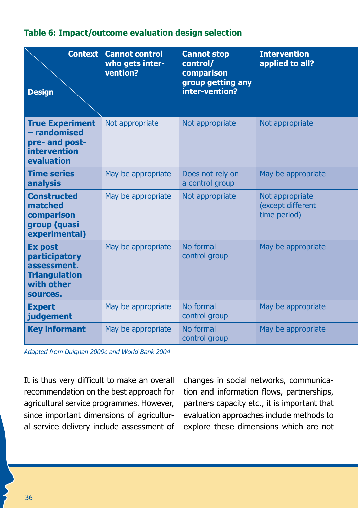#### **Table 6: Impact/outcome evaluation design selection**

| Context<br><b>Design</b>                                                                         | <b>Cannot control</b><br>who gets inter-<br>vention? | <b>Cannot stop</b><br>control/<br>comparison<br>group getting any<br>inter-vention? | <b>Intervention</b><br>applied to all?               |
|--------------------------------------------------------------------------------------------------|------------------------------------------------------|-------------------------------------------------------------------------------------|------------------------------------------------------|
| <b>True Experiment</b><br>- randomised<br>pre- and post-<br>intervention<br>evaluation           | Not appropriate                                      | Not appropriate                                                                     | Not appropriate                                      |
| <b>Time series</b><br>analysis                                                                   | May be appropriate                                   | Does not rely on<br>a control group                                                 | May be appropriate                                   |
| <b>Constructed</b><br>matched<br>comparison<br>group (quasi<br>experimental)                     | May be appropriate                                   | Not appropriate                                                                     | Not appropriate<br>(except different<br>time period) |
| <b>Ex post</b><br>participatory<br>assessment.<br><b>Triangulation</b><br>with other<br>sources. | May be appropriate                                   | No formal<br>control group                                                          | May be appropriate                                   |
| <b>Expert</b><br>judgement                                                                       | May be appropriate                                   | No formal<br>control group                                                          | May be appropriate                                   |
| <b>Key informant</b>                                                                             | May be appropriate                                   | No formal<br>control group                                                          | May be appropriate                                   |

*Adapted from Duignan 2009c and World Bank 2004* 

It is thus very difficult to make an overall recommendation on the best approach for agricultural service programmes. However, since important dimensions of agricultural service delivery include assessment of changes in social networks, communication and information flows, partnerships, partners capacity etc., it is important that evaluation approaches include methods to explore these dimensions which are not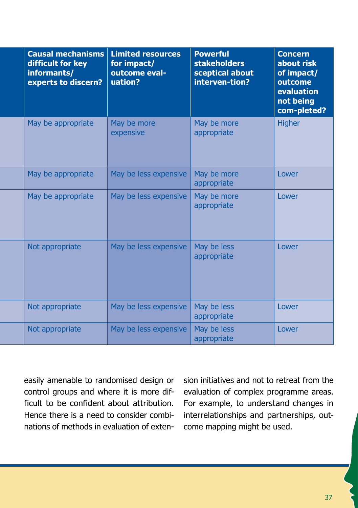| <b>Causal mechanisms</b><br>difficult for key<br>informants/<br>experts to discern? | <b>Limited resources</b><br>for impact/<br>outcome eval-<br>uation? | <b>Powerful</b><br><b>stakeholders</b><br>sceptical about<br>interven-tion? | <b>Concern</b><br>about risk<br>of impact/<br>outcome<br>evaluation<br>not being<br>com-pleted? |
|-------------------------------------------------------------------------------------|---------------------------------------------------------------------|-----------------------------------------------------------------------------|-------------------------------------------------------------------------------------------------|
| May be appropriate                                                                  | May be more<br>expensive                                            | May be more<br>appropriate                                                  | <b>Higher</b>                                                                                   |
| May be appropriate                                                                  | May be less expensive                                               | May be more<br>appropriate                                                  | Lower                                                                                           |
| May be appropriate                                                                  | May be less expensive                                               | May be more<br>appropriate                                                  | Lower                                                                                           |
| Not appropriate                                                                     | May be less expensive                                               | May be less<br>appropriate                                                  | Lower                                                                                           |
| Not appropriate                                                                     | May be less expensive                                               | May be less<br>appropriate                                                  | Lower                                                                                           |
| Not appropriate                                                                     | May be less expensive                                               | May be less<br>appropriate                                                  | Lower                                                                                           |

easily amenable to randomised design or control groups and where it is more difficult to be confident about attribution. Hence there is a need to consider combinations of methods in evaluation of extension initiatives and not to retreat from the evaluation of complex programme areas. For example, to understand changes in interrelationships and partnerships, outcome mapping might be used.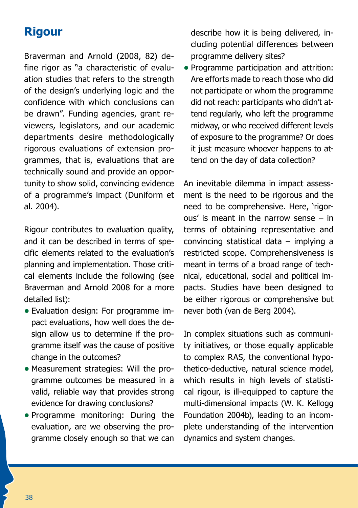### **Rigour**

Braverman and Arnold (2008, 82) define rigor as "a characteristic of evaluation studies that refers to the strength of the design's underlying logic and the confidence with which conclusions can be drawn". Funding agencies, grant reviewers, legislators, and our academic departments desire methodologically rigorous evaluations of extension programmes, that is, evaluations that are technically sound and provide an opportunity to show solid, convincing evidence of a programme's impact (Duniform et al. 2004).

Rigour contributes to evaluation quality, and it can be described in terms of specific elements related to the evaluation's planning and implementation. Those critical elements include the following (see Braverman and Arnold 2008 for a more detailed list):

- Evaluation design: For programme impact evaluations, how well does the design allow us to determine if the programme itself was the cause of positive change in the outcomes?
- Measurement strategies: Will the programme outcomes be measured in a valid, reliable way that provides strong evidence for drawing conclusions?
- **•** Programme monitoring: During the evaluation, are we observing the programme closely enough so that we can

describe how it is being delivered, including potential differences between programme delivery sites?

**•** Programme participation and attrition: Are efforts made to reach those who did not participate or whom the programme did not reach: participants who didn't attend regularly, who left the programme midway, or who received different levels of exposure to the programme? Or does it just measure whoever happens to attend on the day of data collection?

An inevitable dilemma in impact assessment is the need to be rigorous and the need to be comprehensive. Here, 'rigorous' is meant in the narrow sense – in terms of obtaining representative and convincing statistical data – implying a restricted scope. Comprehensiveness is meant in terms of a broad range of technical, educational, social and political impacts. Studies have been designed to be either rigorous or comprehensive but never both (van de Berg 2004).

In complex situations such as community initiatives, or those equally applicable to complex RAS, the conventional hypothetico-deductive, natural science model, which results in high levels of statistical rigour, is ill-equipped to capture the multi-dimensional impacts (W. K. Kellogg Foundation 2004b), leading to an incomplete understanding of the intervention dynamics and system changes.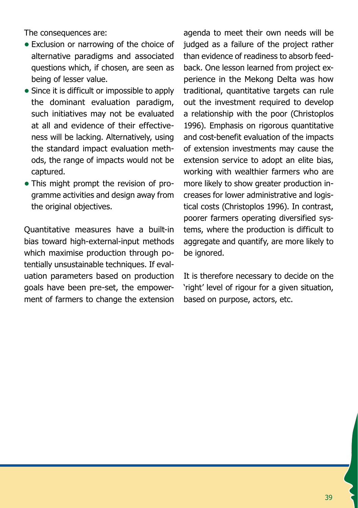The consequences are:

- **•** Exclusion or narrowing of the choice of alternative paradigms and associated questions which, if chosen, are seen as being of lesser value.
- Since it is difficult or impossible to apply the dominant evaluation paradigm, such initiatives may not be evaluated at all and evidence of their effectiveness will be lacking. Alternatively, using the standard impact evaluation methods, the range of impacts would not be captured.
- This might prompt the revision of programme activities and design away from the original objectives.

Quantitative measures have a built-in bias toward high-external-input methods which maximise production through potentially unsustainable techniques. If evaluation parameters based on production goals have been pre-set, the empowerment of farmers to change the extension agenda to meet their own needs will be judged as a failure of the project rather than evidence of readiness to absorb feedback. One lesson learned from project experience in the Mekong Delta was how traditional, quantitative targets can rule out the investment required to develop a relationship with the poor (Christoplos 1996). Emphasis on rigorous quantitative and cost-benefit evaluation of the impacts of extension investments may cause the extension service to adopt an elite bias, working with wealthier farmers who are more likely to show greater production increases for lower administrative and logistical costs (Christoplos 1996). In contrast, poorer farmers operating diversified systems, where the production is difficult to aggregate and quantify, are more likely to be ignored.

It is therefore necessary to decide on the 'right' level of rigour for a given situation, based on purpose, actors, etc.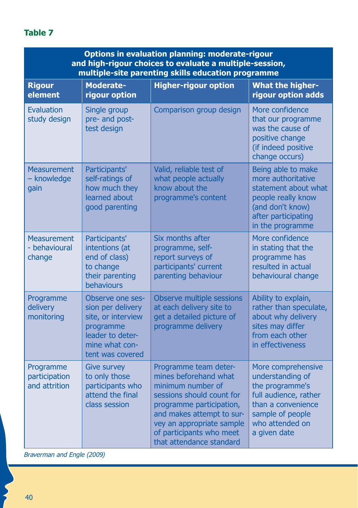### **Table 7**

| Options in evaluation planning: moderate-rigour<br>and high-rigour choices to evaluate a multiple-session,<br>multiple-site parenting skills education programme |                                                                                                                                    |                                                                                                                                                                                                                                                |                                                                                                                                                                 |  |
|------------------------------------------------------------------------------------------------------------------------------------------------------------------|------------------------------------------------------------------------------------------------------------------------------------|------------------------------------------------------------------------------------------------------------------------------------------------------------------------------------------------------------------------------------------------|-----------------------------------------------------------------------------------------------------------------------------------------------------------------|--|
| <b>Rigour</b><br>element                                                                                                                                         | <b>Moderate-</b><br>rigour option                                                                                                  | <b>Higher-rigour option</b>                                                                                                                                                                                                                    | <b>What the higher-</b><br>rigour option adds                                                                                                                   |  |
| Evaluation<br>study design                                                                                                                                       | Single group<br>pre- and post-<br>test design                                                                                      | Comparison group design                                                                                                                                                                                                                        | More confidence<br>that our programme<br>was the cause of<br>positive change<br>(if indeed positive<br>change occurs)                                           |  |
| <b>Measurement</b><br>- knowledge<br>qain                                                                                                                        | Participants'<br>self-ratings of<br>how much they<br>learned about<br>good parenting                                               | Valid, reliable test of<br>what people actually<br>know about the<br>programme's content                                                                                                                                                       | Being able to make<br>more authoritative<br>statement about what<br>people really know<br>(and don't know)<br>after participating<br>in the programme           |  |
| <b>Measurement</b><br>- behavioural<br>change                                                                                                                    | Participants'<br>intentions (at<br>end of class)<br>to change<br>their parenting<br>behaviours                                     | Six months after<br>programme, self-<br>report surveys of<br>participants' current<br>parenting behaviour                                                                                                                                      | More confidence<br>in stating that the<br>programme has<br>resulted in actual<br>behavioural change                                                             |  |
| Programme<br>delivery<br>monitoring                                                                                                                              | Observe one ses-<br>sion per delivery<br>site, or interview<br>programme<br>leader to deter-<br>mine what con-<br>tent was covered | Observe multiple sessions<br>at each delivery site to<br>get a detailed picture of<br>programme delivery                                                                                                                                       | Ability to explain,<br>rather than speculate,<br>about why delivery<br>sites may differ<br>from each other<br>in effectiveness                                  |  |
| Programme<br>participation<br>and attrition                                                                                                                      | <b>Give survey</b><br>to only those<br>participants who<br>attend the final<br>class session                                       | Programme team deter-<br>mines beforehand what<br>minimum number of<br>sessions should count for<br>programme participation,<br>and makes attempt to sur-<br>vey an appropriate sample<br>of participants who meet<br>that attendance standard | More comprehensive<br>understanding of<br>the programme's<br>full audience, rather<br>than a convenience<br>sample of people<br>who attended on<br>a given date |  |

*Braverman and Engle (2009)*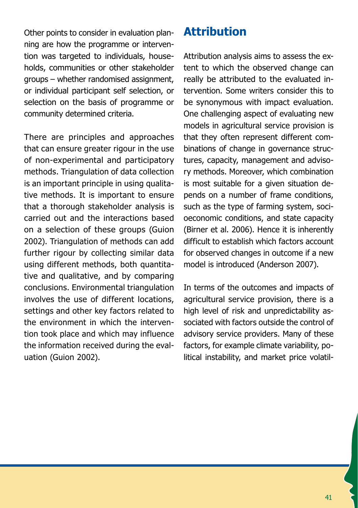Other points to consider in evaluation planning are how the programme or intervention was targeted to individuals, households, communities or other stakeholder groups – whether randomised assignment, or individual participant self selection, or selection on the basis of programme or community determined criteria.

There are principles and approaches that can ensure greater rigour in the use of non-experimental and participatory methods. Triangulation of data collection is an important principle in using qualitative methods. It is important to ensure that a thorough stakeholder analysis is carried out and the interactions based on a selection of these groups (Guion 2002). Triangulation of methods can add further rigour by collecting similar data using different methods, both quantitative and qualitative, and by comparing conclusions. Environmental triangulation involves the use of different locations, settings and other key factors related to the environment in which the intervention took place and which may influence the information received during the evaluation (Guion 2002).

# **Attribution**

Attribution analysis aims to assess the extent to which the observed change can really be attributed to the evaluated intervention. Some writers consider this to be synonymous with impact evaluation. One challenging aspect of evaluating new models in agricultural service provision is that they often represent different combinations of change in governance structures, capacity, management and advisory methods. Moreover, which combination is most suitable for a given situation depends on a number of frame conditions, such as the type of farming system, socioeconomic conditions, and state capacity (Birner et al. 2006). Hence it is inherently difficult to establish which factors account for observed changes in outcome if a new model is introduced (Anderson 2007).

In terms of the outcomes and impacts of agricultural service provision, there is a high level of risk and unpredictability associated with factors outside the control of advisory service providers. Many of these factors, for example climate variability, political instability, and market price volatil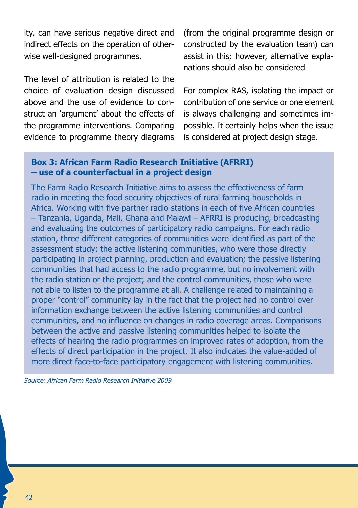ity, can have serious negative direct and indirect effects on the operation of otherwise well-designed programmes.

The level of attribution is related to the choice of evaluation design discussed above and the use of evidence to construct an 'argument' about the effects of the programme interventions. Comparing evidence to programme theory diagrams

(from the original programme design or constructed by the evaluation team) can assist in this; however, alternative explanations should also be considered

For complex RAS, isolating the impact or contribution of one service or one element is always challenging and sometimes impossible. It certainly helps when the issue is considered at project design stage.

#### **Box 3: African Farm Radio Research Initiative (AFRRI) – use of a counterfactual in a project design**

The Farm Radio Research Initiative aims to assess the effectiveness of farm radio in meeting the food security objectives of rural farming households in Africa. Working with five partner radio stations in each of five African countries – Tanzania, Uganda, Mali, Ghana and Malawi – AFRRI is producing, broadcasting and evaluating the outcomes of participatory radio campaigns. For each radio station, three different categories of communities were identified as part of the assessment study: the active listening communities, who were those directly participating in project planning, production and evaluation; the passive listening communities that had access to the radio programme, but no involvement with the radio station or the project; and the control communities, those who were not able to listen to the programme at all. A challenge related to maintaining a proper "control" community lay in the fact that the project had no control over information exchange between the active listening communities and control communities, and no influence on changes in radio coverage areas. Comparisons between the active and passive listening communities helped to isolate the effects of hearing the radio programmes on improved rates of adoption, from the effects of direct participation in the project. It also indicates the value-added of more direct face-to-face participatory engagement with listening communities.

*Source: African Farm Radio Research Initiative 2009*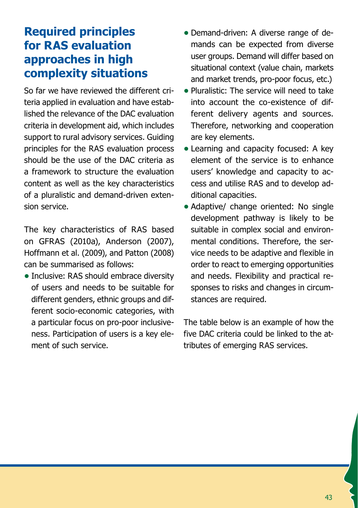# **Required principles for RAS evaluation approaches in high complexity situations**

So far we have reviewed the different criteria applied in evaluation and have established the relevance of the DAC evaluation criteria in development aid, which includes support to rural advisory services. Guiding principles for the RAS evaluation process should be the use of the DAC criteria as a framework to structure the evaluation content as well as the key characteristics of a pluralistic and demand-driven extension service.

The key characteristics of RAS based on GFRAS (2010a), Anderson (2007), Hoffmann et al. (2009), and Patton (2008) can be summarised as follows:

• Inclusive: RAS should embrace diversity of users and needs to be suitable for different genders, ethnic groups and different socio-economic categories, with a particular focus on pro-poor inclusiveness. Participation of users is a key element of such service.

- Demand-driven: A diverse range of demands can be expected from diverse user groups. Demand will differ based on situational context (value chain, markets and market trends, pro-poor focus, etc.)
- **•** Pluralistic: The service will need to take into account the co-existence of different delivery agents and sources. Therefore, networking and cooperation are key elements.
- **•** Learning and capacity focused: A key element of the service is to enhance users' knowledge and capacity to access and utilise RAS and to develop additional capacities.
- Adaptive/ change oriented: No single development pathway is likely to be suitable in complex social and environmental conditions. Therefore, the service needs to be adaptive and flexible in order to react to emerging opportunities and needs. Flexibility and practical responses to risks and changes in circumstances are required.

The table below is an example of how the five DAC criteria could be linked to the attributes of emerging RAS services.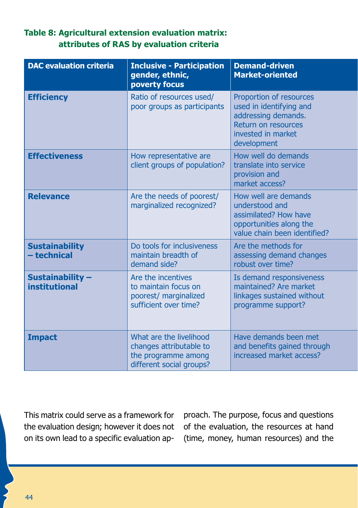### **Table 8: Agricultural extension evaluation matrix: attributes of RAS by evaluation criteria**

| <b>DAC evaluation criteria</b>          | <b>Inclusive - Participation</b><br>gender, ethnic,<br>poverty focus                                  | <b>Demand-driven</b><br><b>Market-oriented</b>                                                                                        |
|-----------------------------------------|-------------------------------------------------------------------------------------------------------|---------------------------------------------------------------------------------------------------------------------------------------|
| <b>Efficiency</b>                       | Ratio of resources used/<br>poor groups as participants                                               | Proportion of resources<br>used in identifying and<br>addressing demands.<br>Return on resources<br>invested in market<br>development |
| <b>Effectiveness</b>                    | How representative are<br>client groups of population?                                                | How well do demands<br>translate into service<br>provision and<br>market access?                                                      |
| <b>Relevance</b>                        | Are the needs of poorest/<br>marginalized recognized?                                                 | How well are demands<br>understood and<br>assimilated? How have<br>opportunities along the<br>value chain been identified?            |
| <b>Sustainability</b><br>- technical    | Do tools for inclusiveness<br>maintain breadth of<br>demand side?                                     | Are the methods for<br>assessing demand changes<br>robust over time?                                                                  |
| Sustainability-<br><b>institutional</b> | Are the incentives<br>to maintain focus on<br>poorest/ marginalized<br>sufficient over time?          | Is demand responsiveness<br>maintained? Are market<br>linkages sustained without<br>programme support?                                |
| <b>Impact</b>                           | What are the livelihood<br>changes attributable to<br>the programme among<br>different social groups? | Have demands been met<br>and benefits gained through<br>increased market access?                                                      |

This matrix could serve as a framework for the evaluation design; however it does not on its own lead to a specific evaluation approach. The purpose, focus and questions of the evaluation, the resources at hand (time, money, human resources) and the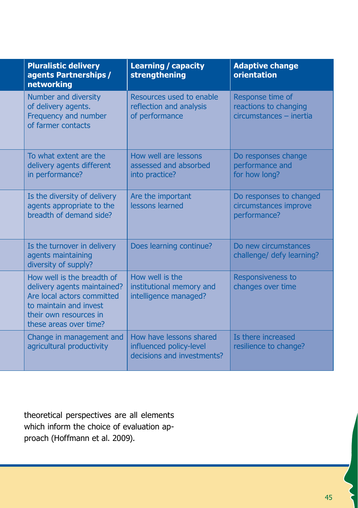| <b>Pluralistic delivery</b><br>agents Partnerships /<br>networking                                                                                                    | <b>Learning / capacity</b><br>strengthening                                      | <b>Adaptive change</b><br>orientation                                |
|-----------------------------------------------------------------------------------------------------------------------------------------------------------------------|----------------------------------------------------------------------------------|----------------------------------------------------------------------|
| Number and diversity<br>of delivery agents.<br>Frequency and number<br>of farmer contacts                                                                             | Resources used to enable<br>reflection and analysis<br>of performance            | Response time of<br>reactions to changing<br>circumstances - inertia |
| To what extent are the<br>delivery agents different<br>in performance?                                                                                                | How well are lessons<br>assessed and absorbed<br>into practice?                  | Do responses change<br>performance and<br>for how long?              |
| Is the diversity of delivery<br>agents appropriate to the<br>breadth of demand side?                                                                                  | Are the important<br>lessons learned                                             | Do responses to changed<br>circumstances improve<br>performance?     |
| Is the turnover in delivery<br>agents maintaining<br>diversity of supply?                                                                                             | Does learning continue?                                                          | Do new circumstances<br>challenge/ defy learning?                    |
| How well is the breadth of<br>delivery agents maintained?<br>Are local actors committed<br>to maintain and invest<br>their own resources in<br>these areas over time? | How well is the<br>institutional memory and<br>intelligence managed?             | Responsiveness to<br>changes over time                               |
| Change in management and<br>agricultural productivity                                                                                                                 | How have lessons shared<br>influenced policy-level<br>decisions and investments? | Is there increased<br>resilience to change?                          |

theoretical perspectives are all elements which inform the choice of evaluation approach (Hoffmann et al. 2009).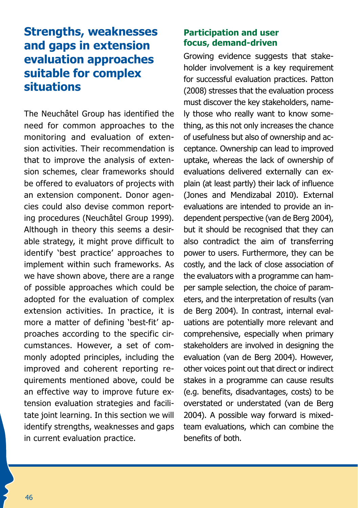# **Strengths, weaknesses and gaps in extension evaluation approaches suitable for complex situations**

The Neuchâtel Group has identified the need for common approaches to the monitoring and evaluation of extension activities. Their recommendation is that to improve the analysis of extension schemes, clear frameworks should be offered to evaluators of projects with an extension component. Donor agencies could also devise common reporting procedures (Neuchâtel Group 1999). Although in theory this seems a desirable strategy, it might prove difficult to identify 'best practice' approaches to implement within such frameworks. As we have shown above, there are a range of possible approaches which could be adopted for the evaluation of complex extension activities. In practice, it is more a matter of defining 'best-fit' approaches according to the specific circumstances. However, a set of commonly adopted principles, including the improved and coherent reporting requirements mentioned above, could be an effective way to improve future extension evaluation strategies and facilitate joint learning. In this section we will identify strengths, weaknesses and gaps in current evaluation practice.

#### **Participation and user focus, demand-driven**

Growing evidence suggests that stakeholder involvement is a key requirement for successful evaluation practices. Patton (2008) stresses that the evaluation process must discover the key stakeholders, namely those who really want to know something, as this not only increases the chance of usefulness but also of ownership and acceptance. Ownership can lead to improved uptake, whereas the lack of ownership of evaluations delivered externally can explain (at least partly) their lack of influence (Jones and Mendizabal 2010). External evaluations are intended to provide an independent perspective (van de Berg 2004), but it should be recognised that they can also contradict the aim of transferring power to users. Furthermore, they can be costly, and the lack of close association of the evaluators with a programme can hamper sample selection, the choice of parameters, and the interpretation of results (van de Berg 2004). In contrast, internal evaluations are potentially more relevant and comprehensive, especially when primary stakeholders are involved in designing the evaluation (van de Berg 2004). However, other voices point out that direct or indirect stakes in a programme can cause results (e.g. benefits, disadvantages, costs) to be overstated or understated (van de Berg 2004). A possible way forward is mixedteam evaluations, which can combine the benefits of both.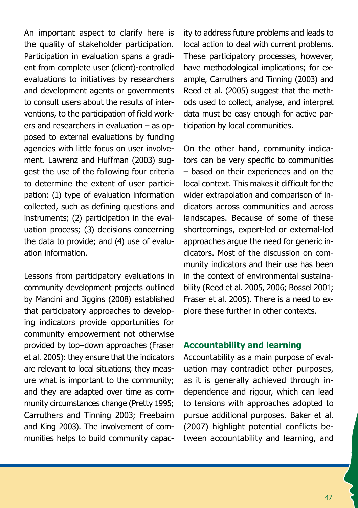An important aspect to clarify here is the quality of stakeholder participation. Participation in evaluation spans a gradient from complete user (client)-controlled evaluations to initiatives by researchers and development agents or governments to consult users about the results of interventions, to the participation of field workers and researchers in evaluation – as opposed to external evaluations by funding agencies with little focus on user involvement. Lawrenz and Huffman (2003) suggest the use of the following four criteria to determine the extent of user participation: (1) type of evaluation information collected, such as defining questions and instruments; (2) participation in the evaluation process; (3) decisions concerning the data to provide; and (4) use of evaluation information.

Lessons from participatory evaluations in community development projects outlined by Mancini and Jiggins (2008) established that participatory approaches to developing indicators provide opportunities for community empowerment not otherwise provided by top–down approaches (Fraser et al. 2005): they ensure that the indicators are relevant to local situations; they measure what is important to the community; and they are adapted over time as community circumstances change (Pretty 1995; Carruthers and Tinning 2003; Freebairn and King 2003). The involvement of communities helps to build community capacity to address future problems and leads to local action to deal with current problems. These participatory processes, however, have methodological implications; for example, Carruthers and Tinning (2003) and Reed et al. (2005) suggest that the methods used to collect, analyse, and interpret data must be easy enough for active participation by local communities.

On the other hand, community indicators can be very specific to communities – based on their experiences and on the local context. This makes it difficult for the wider extrapolation and comparison of indicators across communities and across landscapes. Because of some of these shortcomings, expert-led or external-led approaches argue the need for generic indicators. Most of the discussion on community indicators and their use has been in the context of environmental sustainability (Reed et al. 2005, 2006; Bossel 2001; Fraser et al. 2005). There is a need to explore these further in other contexts.

#### **Accountability and learning**

Accountability as a main purpose of evaluation may contradict other purposes, as it is generally achieved through independence and rigour, which can lead to tensions with approaches adopted to pursue additional purposes. Baker et al. (2007) highlight potential conflicts between accountability and learning, and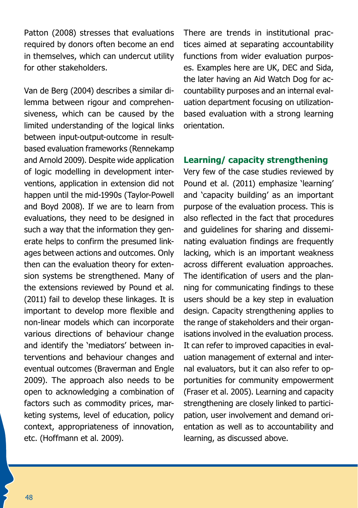Patton (2008) stresses that evaluations required by donors often become an end in themselves, which can undercut utility for other stakeholders.

Van de Berg (2004) describes a similar dilemma between rigour and comprehensiveness, which can be caused by the limited understanding of the logical links between input-output-outcome in resultbased evaluation frameworks (Rennekamp and Arnold 2009). Despite wide application of logic modelling in development interventions, application in extension did not happen until the mid-1990s (Taylor-Powell and Boyd 2008). If we are to learn from evaluations, they need to be designed in such a way that the information they generate helps to confirm the presumed linkages between actions and outcomes. Only then can the evaluation theory for extension systems be strengthened. Many of the extensions reviewed by Pound et al. (2011) fail to develop these linkages. It is important to develop more flexible and non-linear models which can incorporate various directions of behaviour change and identify the 'mediators' between interventions and behaviour changes and eventual outcomes (Braverman and Engle 2009). The approach also needs to be open to acknowledging a combination of factors such as commodity prices, marketing systems, level of education, policy context, appropriateness of innovation, etc. (Hoffmann et al. 2009).

There are trends in institutional practices aimed at separating accountability functions from wider evaluation purposes. Examples here are UK, DEC and Sida, the later having an Aid Watch Dog for accountability purposes and an internal evaluation department focusing on utilizationbased evaluation with a strong learning orientation.

#### **Learning/ capacity strengthening**

Very few of the case studies reviewed by Pound et al. (2011) emphasize 'learning' and 'capacity building' as an important purpose of the evaluation process. This is also reflected in the fact that procedures and guidelines for sharing and disseminating evaluation findings are frequently lacking, which is an important weakness across different evaluation approaches. The identification of users and the planning for communicating findings to these users should be a key step in evaluation design. Capacity strengthening applies to the range of stakeholders and their organisations involved in the evaluation process. It can refer to improved capacities in evaluation management of external and internal evaluators, but it can also refer to opportunities for community empowerment (Fraser et al. 2005). Learning and capacity strengthening are closely linked to participation, user involvement and demand orientation as well as to accountability and learning, as discussed above.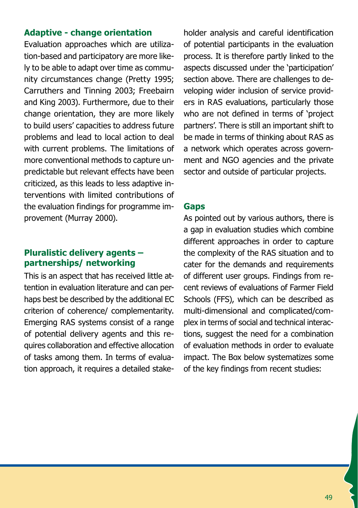#### **Adaptive - change orientation**

Evaluation approaches which are utilization-based and participatory are more likely to be able to adapt over time as community circumstances change (Pretty 1995; Carruthers and Tinning 2003; Freebairn and King 2003). Furthermore, due to their change orientation, they are more likely to build users' capacities to address future problems and lead to local action to deal with current problems. The limitations of more conventional methods to capture unpredictable but relevant effects have been criticized, as this leads to less adaptive interventions with limited contributions of the evaluation findings for programme improvement (Murray 2000).

### **Pluralistic delivery agents – partnerships/ networking**

This is an aspect that has received little attention in evaluation literature and can perhaps best be described by the additional EC criterion of coherence/ complementarity. Emerging RAS systems consist of a range of potential delivery agents and this requires collaboration and effective allocation of tasks among them. In terms of evaluation approach, it requires a detailed stakeholder analysis and careful identification of potential participants in the evaluation process. It is therefore partly linked to the aspects discussed under the 'participation' section above. There are challenges to developing wider inclusion of service providers in RAS evaluations, particularly those who are not defined in terms of 'project partners'. There is still an important shift to be made in terms of thinking about RAS as a network which operates across government and NGO agencies and the private sector and outside of particular projects.

#### **Gaps**

As pointed out by various authors, there is a gap in evaluation studies which combine different approaches in order to capture the complexity of the RAS situation and to cater for the demands and requirements of different user groups. Findings from recent reviews of evaluations of Farmer Field Schools (FFS), which can be described as multi-dimensional and complicated/complex in terms of social and technical interactions, suggest the need for a combination of evaluation methods in order to evaluate impact. The Box below systematizes some of the key findings from recent studies: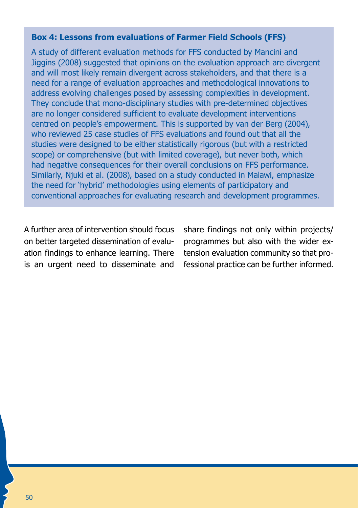### **Box 4: Lessons from evaluations of Farmer Field Schools (FFS)**

A study of different evaluation methods for FFS conducted by Mancini and Jiggins (2008) suggested that opinions on the evaluation approach are divergent and will most likely remain divergent across stakeholders, and that there is a need for a range of evaluation approaches and methodological innovations to address evolving challenges posed by assessing complexities in development. They conclude that mono-disciplinary studies with pre-determined objectives are no longer considered sufficient to evaluate development interventions centred on people's empowerment. This is supported by van der Berg (2004), who reviewed 25 case studies of FFS evaluations and found out that all the studies were designed to be either statistically rigorous (but with a restricted scope) or comprehensive (but with limited coverage), but never both, which had negative consequences for their overall conclusions on FFS performance. Similarly, Njuki et al. (2008), based on a study conducted in Malawi, emphasize the need for 'hybrid' methodologies using elements of participatory and conventional approaches for evaluating research and development programmes.

A further area of intervention should focus on better targeted dissemination of evaluation findings to enhance learning. There is an urgent need to disseminate and share findings not only within projects/ programmes but also with the wider extension evaluation community so that professional practice can be further informed.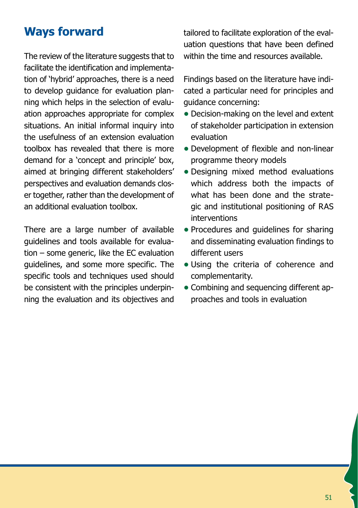# **Ways forward**

The review of the literature suggests that to facilitate the identification and implementation of 'hybrid' approaches, there is a need to develop guidance for evaluation planning which helps in the selection of evaluation approaches appropriate for complex situations. An initial informal inquiry into the usefulness of an extension evaluation toolbox has revealed that there is more demand for a 'concept and principle' box, aimed at bringing different stakeholders' perspectives and evaluation demands closer together, rather than the development of an additional evaluation toolbox.

There are a large number of available guidelines and tools available for evaluation – some generic, like the EC evaluation guidelines, and some more specific. The specific tools and techniques used should be consistent with the principles underpinning the evaluation and its objectives and tailored to facilitate exploration of the evaluation questions that have been defined within the time and resources available.

Findings based on the literature have indicated a particular need for principles and guidance concerning:

- **•** Decision-making on the level and extent of stakeholder participation in extension evaluation
- **•** Development of flexible and non-linear programme theory models
- **•** Designing mixed method evaluations which address both the impacts of what has been done and the strategic and institutional positioning of RAS interventions
- **•** Procedures and guidelines for sharing and disseminating evaluation findings to different users
- **•** Using the criteria of coherence and complementarity.
- **•** Combining and sequencing different approaches and tools in evaluation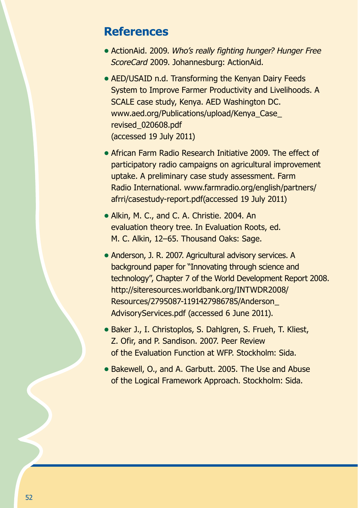### **References**

- **•** ActionAid. 2009. *Who's really fighting hunger? Hunger Free ScoreCard* 2009. Johannesburg: ActionAid.
- **•** AED/USAID n.d. Transforming the Kenyan Dairy Feeds System to Improve Farmer Productivity and Livelihoods. A SCALE case study, Kenya. AED Washington DC. www.aed.org/Publications/upload/Kenya\_Case\_ revised\_020608.pdf (accessed 19 July 2011)
- African Farm Radio Research Initiative 2009. The effect of participatory radio campaigns on agricultural improvement uptake. A preliminary case study assessment. Farm Radio International. www.farmradio.org/english/partners/ afrri/casestudy-report.pdf(accessed 19 July 2011)
- **•** Alkin, M. C., and C. A. Christie. 2004. An evaluation theory tree. In Evaluation Roots, ed. M. C. Alkin, 12–65. Thousand Oaks: Sage.
- **•** Anderson, J. R. 2007. Agricultural advisory services. A background paper for "Innovating through science and technology", Chapter 7 of the World Development Report 2008. http://siteresources.worldbank.org/INTWDR2008/ Resources/2795087-1191427986785/Anderson\_ AdvisoryServices.pdf (accessed 6 June 2011).
- **•** Baker J., I. Christoplos, S. Dahlgren, S. Frueh, T. Kliest, Z. Ofir, and P. Sandison. 2007. Peer Review of the Evaluation Function at WFP. Stockholm: Sida.
- **•** Bakewell, O., and A. Garbutt. 2005. The Use and Abuse of the Logical Framework Approach. Stockholm: Sida.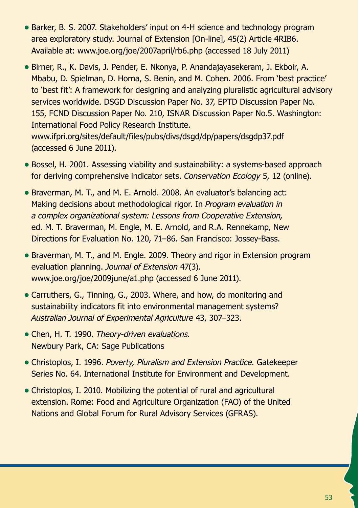- **•** Barker, B. S. 2007. Stakeholders' input on 4-H science and technology program area exploratory study. Journal of Extension [On-line], 45(2) Article 4RIB6. Available at: www.joe.org/joe/2007april/rb6.php (accessed 18 July 2011)
- **•** Birner, R., K. Davis, J. Pender, E. Nkonya, P. Anandajayasekeram, J. Ekboir, A. Mbabu, D. Spielman, D. Horna, S. Benin, and M. Cohen. 2006. From 'best practice' to 'best fit': A framework for designing and analyzing pluralistic agricultural advisory services worldwide. DSGD Discussion Paper No. 37, EPTD Discussion Paper No. 155, FCND Discussion Paper No. 210, ISNAR Discussion Paper No.5. Washington: International Food Policy Research Institute. www.ifpri.org/sites/default/files/pubs/divs/dsgd/dp/papers/dsgdp37.pdf (accessed 6 June 2011).
- Bossel, H. 2001. Assessing viability and sustainability: a systems-based approach for deriving comprehensive indicator sets. *Conservation Ecology* 5, 12 (online).
- Braverman, M. T., and M. E. Arnold. 2008. An evaluator's balancing act: Making decisions about methodological rigor. In *Program evaluation in a complex organizational system: Lessons from Cooperative Extension,* ed. M. T. Braverman, M. Engle, M. E. Arnold, and R.A. Rennekamp, New Directions for Evaluation No. 120, 71–86. San Francisco: Jossey-Bass.
- Braverman, M. T., and M. Engle. 2009. Theory and rigor in Extension program evaluation planning. *Journal of Extension* 47(3). www.joe.org/joe/2009june/a1.php (accessed 6 June 2011).
- **•** Carruthers, G., Tinning, G., 2003. Where, and how, do monitoring and sustainability indicators fit into environmental management systems? *Australian Journal of Experimental Agriculture* 43, 307–323.
- **•** Chen, H. T. 1990. *Theory-driven evaluations.* Newbury Park, CA: Sage Publications
- **•** Christoplos, I. 1996. *Poverty, Pluralism and Extension Practice.* Gatekeeper Series No. 64. International Institute for Environment and Development.
- Christoplos, I. 2010. Mobilizing the potential of rural and agricultural extension. Rome: Food and Agriculture Organization (FAO) of the United Nations and Global Forum for Rural Advisory Services (GFRAS).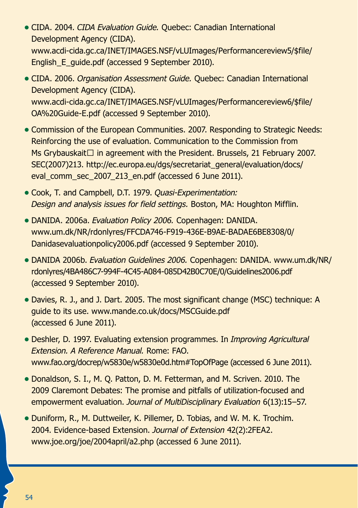- **•** CIDA. 2004. *CIDA Evaluation Guide.* Quebec: Canadian International Development Agency (CIDA). www.acdi-cida.gc.ca/INET/IMAGES.NSF/vLUImages/Performancereview5/\$file/ English\_E\_quide.pdf (accessed 9 September 2010).
- **•** CIDA. 2006. *Organisation Assessment Guide.* Quebec: Canadian International Development Agency (CIDA). www.acdi-cida.gc.ca/INET/IMAGES.NSF/vLUImages/Performancereview6/\$file/ OA%20Guide-E.pdf (accessed 9 September 2010).
- Commission of the European Communities. 2007. Responding to Strategic Needs: Reinforcing the use of evaluation. Communication to the Commission from Ms Grybauskait $\Box$  in agreement with the President. Brussels, 21 February 2007. SEC(2007)213. http://ec.europa.eu/dgs/secretariat\_general/evaluation/docs/ eval\_comm\_sec\_2007\_213\_en.pdf (accessed 6 June 2011).
- **•** Cook, T. and Campbell, D.T. 1979. *Quasi-Experimentation: Design and analysis issues for field settings.* Boston, MA: Houghton Mifflin.
- **•** DANIDA. 2006a. *Evaluation Policy 2006.* Copenhagen: DANIDA. www.um.dk/NR/rdonlyres/FFCDA746-F919-436E-B9AE-BADAE6BE8308/0/ Danidasevaluationpolicy2006.pdf (accessed 9 September 2010).
- **•** DANIDA 2006b. *Evaluation Guidelines 2006.* Copenhagen: DANIDA. www.um.dk/NR/ rdonlyres/4BA486C7-994F-4C45-A084-085D42B0C70E/0/Guidelines2006.pdf (accessed 9 September 2010).
- Davies, R. J., and J. Dart. 2005. The most significant change (MSC) technique: A guide to its use. www.mande.co.uk/docs/MSCGuide.pdf (accessed 6 June 2011).
- **•** Deshler, D. 1997. Evaluating extension programmes. In *Improving Agricultural Extension. A Reference Manual.* Rome: FAO. www.fao.org/docrep/w5830e/w5830e0d.htm#TopOfPage (accessed 6 June 2011).
- **•** Donaldson, S. I., M. Q. Patton, D. M. Fetterman, and M. Scriven. 2010. The 2009 Claremont Debates: The promise and pitfalls of utilization-focused and empowerment evaluation. *Journal of MultiDisciplinary Evaluation* 6(13):15–57.
- **•** Duniform, R., M. Duttweiler, K. Pillemer, D. Tobias, and W. M. K. Trochim. 2004. Evidence-based Extension. *Journal of Extension* 42(2):2FEA2. www.joe.org/joe/2004april/a2.php (accessed 6 June 2011).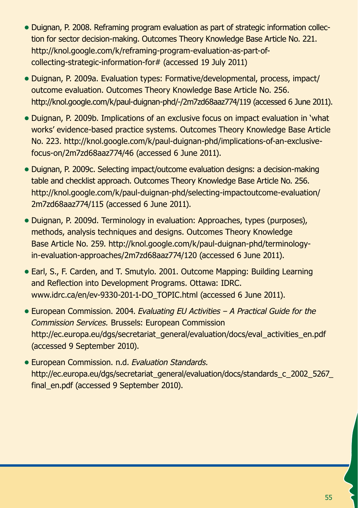- **•** Duignan, P. 2008. Reframing program evaluation as part of strategic information collection for sector decision-making. Outcomes Theory Knowledge Base Article No. 221. http://knol.google.com/k/reframing-program-evaluation-as-part-ofcollecting-strategic-information-for# (accessed 19 July 2011)
- **•** Duignan, P. 2009a. Evaluation types: Formative/developmental, process, impact/ outcome evaluation. Outcomes Theory Knowledge Base Article No. 256. http://knol.google.com/k/paul-duignan-phd/-/2m7zd68aaz774/119 (accessed 6 June 2011).
- **•** Duignan, P. 2009b. Implications of an exclusive focus on impact evaluation in 'what works' evidence-based practice systems. Outcomes Theory Knowledge Base Article No. 223. http://knol.google.com/k/paul-duignan-phd/implications-of-an-exclusivefocus-on/2m7zd68aaz774/46 (accessed 6 June 2011).
- **•** Duignan, P. 2009c. Selecting impact/outcome evaluation designs: a decision-making table and checklist approach. Outcomes Theory Knowledge Base Article No. 256. http://knol.google.com/k/paul-duignan-phd/selecting-impactoutcome-evaluation/ 2m7zd68aaz774/115 (accessed 6 June 2011).
- **•** Duignan, P. 2009d. Terminology in evaluation: Approaches, types (purposes), methods, analysis techniques and designs. Outcomes Theory Knowledge Base Article No. 259. http://knol.google.com/k/paul-duignan-phd/terminologyin-evaluation-approaches/2m7zd68aaz774/120 (accessed 6 June 2011).
- **•** Earl, S., F. Carden, and T. Smutylo. 2001. Outcome Mapping: Building Learning and Reflection into Development Programs. Ottawa: IDRC. www.idrc.ca/en/ev-9330-201-1-DO\_TOPIC.html (accessed 6 June 2011).
- **•** European Commission. 2004. *Evaluating EU Activities A Practical Guide for the Commission Services.* Brussels: European Commission http://ec.europa.eu/dgs/secretariat\_general/evaluation/docs/eval\_activities\_en.pdf (accessed 9 September 2010).
- **•** European Commission. n.d. *Evaluation Standards.* http://ec.europa.eu/dgs/secretariat\_general/evaluation/docs/standards\_c\_2002\_5267 final\_en.pdf (accessed 9 September 2010).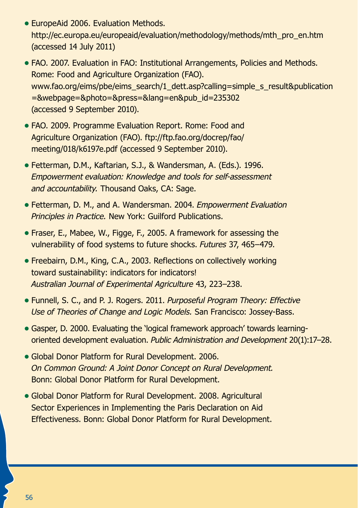- **•** EuropeAid 2006. Evaluation Methods. http://ec.europa.eu/europeaid/evaluation/methodology/methods/mth\_pro\_en.htm (accessed 14 July 2011)
- FAO. 2007. Evaluation in FAO: Institutional Arrangements, Policies and Methods. Rome: Food and Agriculture Organization (FAO). www.fao.org/eims/pbe/eims\_search/1\_dett.asp?calling=simple\_s\_result&publication =&webpage=&photo=&press=&lang=en&pub\_id=235302 (accessed 9 September 2010).
- **•** FAO. 2009. Programme Evaluation Report. Rome: Food and Agriculture Organization (FAO). ftp://ftp.fao.org/docrep/fao/ meeting/018/k6197e.pdf (accessed 9 September 2010).
- **•** Fetterman, D.M., Kaftarian, S.J., & Wandersman, A. (Eds.). 1996. *Empowerment evaluation: Knowledge and tools for self-assessment and accountability.* Thousand Oaks, CA: Sage.
- **•** Fetterman, D. M., and A. Wandersman. 2004. *Empowerment Evaluation Principles in Practice.* New York: Guilford Publications.
- **•** Fraser, E., Mabee, W., Figge, F., 2005. A framework for assessing the vulnerability of food systems to future shocks. *Futures* 37, 465–479.
- **•** Freebairn, D.M., King, C.A., 2003. Reflections on collectively working toward sustainability: indicators for indicators! *Australian Journal of Experimental Agriculture* 43, 223–238.
- **•** Funnell, S. C., and P. J. Rogers. 2011. *Purposeful Program Theory: Effective Use of Theories of Change and Logic Models.* San Francisco: Jossey-Bass.
- **•** Gasper, D. 2000. Evaluating the 'logical framework approach' towards learningoriented development evaluation. *Public Administration and Development* 20(1):17–28.
- **•** Global Donor Platform for Rural Development. 2006. *On Common Ground: A Joint Donor Concept on Rural Development.*  Bonn: Global Donor Platform for Rural Development.
- Global Donor Platform for Rural Development. 2008. Agricultural Sector Experiences in Implementing the Paris Declaration on Aid Effectiveness. Bonn: Global Donor Platform for Rural Development.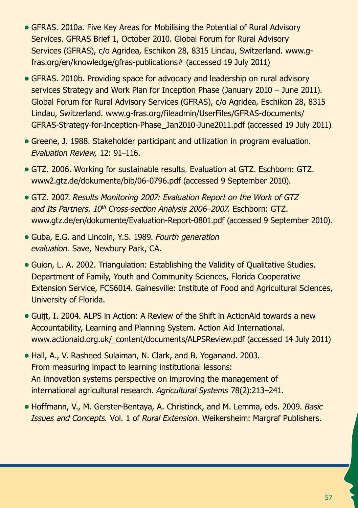- **•** GFRAS. 2010a. Five Key Areas for Mobilising the Potential of Rural Advisory Services. GFRAS Brief 1, October 2010. Global Forum for Rural Advisory Services (GFRAS), c/o Agridea, Eschikon 28, 8315 Lindau, Switzerland. www.gfras.org/en/knowledge/gfras-publications# (accessed 19 July 2011)
- **•** GFRAS. 2010b. Providing space for advocacy and leadership on rural advisory services Strategy and Work Plan for Inception Phase (January 2010 – June 2011). Global Forum for Rural Advisory Services (GFRAS), c/o Agridea, Eschikon 28, 8315 Lindau, Switzerland. www.g-fras.org/fileadmin/UserFiles/GFRAS-documents/ GFRAS-Strategy-for-Inception-Phase\_Jan2010-June2011.pdf (accessed 19 July 2011)
- **•** Greene, J. 1988. Stakeholder participant and utilization in program evaluation. *Evaluation Review,* 12: 91–116.
- **•** GTZ. 2006. Working for sustainable results. Evaluation at GTZ. Eschborn: GTZ. www2.gtz.de/dokumente/bib/06-0796.pdf (accessed 9 September 2010).
- **•** GTZ. 2007. *Results Monitoring 2007: Evaluation Report on the Work of GTZ* and Its Partners. 10<sup>th</sup> Cross-section Analysis 2006–2007. Eschborn: GTZ. www.gtz.de/en/dokumente/Evaluation-Report-0801.pdf (accessed 9 September 2010).
- **•** Guba, E.G. and Lincoln, Y.S. 1989. *Fourth generation evaluation.* Save, Newbury Park, CA.
- Guion, L. A. 2002. Triangulation: Establishing the Validity of Qualitative Studies. Department of Family, Youth and Community Sciences, Florida Cooperative Extension Service, FCS6014. Gainesville: Institute of Food and Agricultural Sciences, University of Florida.
- **•** Guijt, I. 2004. ALPS in Action: A Review of the Shift in ActionAid towards a new Accountability, Learning and Planning System. Action Aid International. www.actionaid.org.uk/\_content/documents/ALPSReview.pdf (accessed 14 July 2011)
- **•** Hall, A., V. Rasheed Sulaiman, N. Clark, and B. Yoganand. 2003. From measuring impact to learning institutional lessons: An innovation systems perspective on improving the management of international agricultural research. *Agricultural Systems* 78(2):213–241.
- **•** Hoffmann, V., M. Gerster-Bentaya, A. Christinck, and M. Lemma, eds. 2009. *Basic Issues and Concepts.* Vol. 1 of *Rural Extension.* Weikersheim: Margraf Publishers.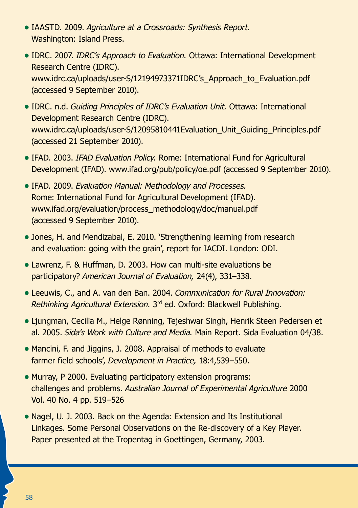- **•** IAASTD. 2009. *Agriculture at a Crossroads: Synthesis Report.* Washington: Island Press.
- **•** IDRC. 2007. *IDRC's Approach to Evaluation.* Ottawa: International Development Research Centre (IDRC). www.idrc.ca/uploads/user-S/12194973371IDRC's Approach to Evaluation.pdf (accessed 9 September 2010).
- **•** IDRC. n.d. *Guiding Principles of IDRC's Evaluation Unit.* Ottawa: International Development Research Centre (IDRC). www.idrc.ca/uploads/user-S/12095810441Evaluation\_Unit\_Guiding\_Principles.pdf (accessed 21 September 2010).
- **•** IFAD. 2003. *IFAD Evaluation Policy.* Rome: International Fund for Agricultural Development (IFAD). www.ifad.org/pub/policy/oe.pdf (accessed 9 September 2010).
- **•** IFAD. 2009. *Evaluation Manual: Methodology and Processes.* Rome: International Fund for Agricultural Development (IFAD). www.ifad.org/evaluation/process\_methodology/doc/manual.pdf (accessed 9 September 2010).
- **•** Jones, H. and Mendizabal, E. 2010. 'Strengthening learning from research and evaluation: going with the grain', report for IACDI. London: ODI.
- **•** Lawrenz, F. & Huffman, D. 2003. How can multi-site evaluations be participatory? *American Journal of Evaluation,* 24(4), 331–338.
- **•** Leeuwis, C., and A. van den Ban. 2004. *Communication for Rural Innovation: Rethinking Agricultural Extension.* 3rd ed. Oxford: Blackwell Publishing.
- **•** Ljungman, Cecilia M., Helge Rønning, Tejeshwar Singh, Henrik Steen Pedersen et al. 2005. *Sida's Work with Culture and Media.* Main Report. Sida Evaluation 04/38.
- Mancini, F. and Jiggins, J. 2008. Appraisal of methods to evaluate farmer field schools', *Development in Practice,* 18:4,539–550.
- Murray, P 2000. Evaluating participatory extension programs: challenges and problems. *Australian Journal of Experimental Agriculture* 2000 Vol. 40 No. 4 pp. 519–526
- **•** Nagel, U. J. 2003. Back on the Agenda: Extension and Its Institutional Linkages. Some Personal Observations on the Re-discovery of a Key Player. Paper presented at the Tropentag in Goettingen, Germany, 2003.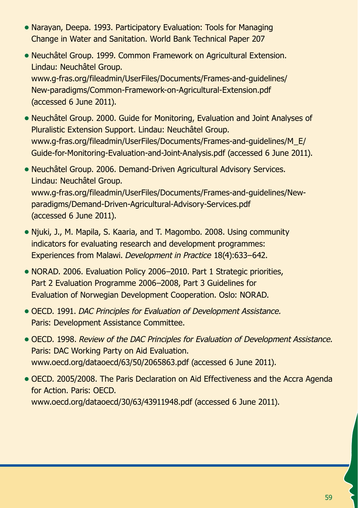- **•** Narayan, Deepa. 1993. Participatory Evaluation: Tools for Managing Change in Water and Sanitation. World Bank Technical Paper 207
- **•** Neuchâtel Group. 1999. Common Framework on Agricultural Extension. Lindau: Neuchâtel Group. www.g-fras.org/fileadmin/UserFiles/Documents/Frames-and-guidelines/ New-paradigms/Common-Framework-on-Agricultural-Extension.pdf (accessed 6 June 2011).
- **•** Neuchâtel Group. 2000. Guide for Monitoring, Evaluation and Joint Analyses of Pluralistic Extension Support. Lindau: Neuchâtel Group. www.g-fras.org/fileadmin/UserFiles/Documents/Frames-and-guidelines/M\_E/ Guide-for-Monitoring-Evaluation-and-Joint-Analysis.pdf (accessed 6 June 2011).
- **•** Neuchâtel Group. 2006. Demand-Driven Agricultural Advisory Services. Lindau: Neuchâtel Group. www.g-fras.org/fileadmin/UserFiles/Documents/Frames-and-guidelines/Newparadigms/Demand-Driven-Agricultural-Advisory-Services.pdf (accessed 6 June 2011).
- **•** Njuki, J., M. Mapila, S. Kaaria, and T. Magombo. 2008. Using community indicators for evaluating research and development programmes: Experiences from Malawi. *Development in Practice* 18(4):633–642.
- **•** NORAD. 2006. Evaluation Policy 2006–2010. Part 1 Strategic priorities, Part 2 Evaluation Programme 2006–2008, Part 3 Guidelines for Evaluation of Norwegian Development Cooperation. Oslo: NORAD.
- **•** OECD. 1991. *DAC Principles for Evaluation of Development Assistance.* Paris: Development Assistance Committee.
- **•** OECD. 1998. *Review of the DAC Principles for Evaluation of Development Assistance.* Paris: DAC Working Party on Aid Evaluation. www.oecd.org/dataoecd/63/50/2065863.pdf (accessed 6 June 2011).
- **•** OECD. 2005/2008. The Paris Declaration on Aid Effectiveness and the Accra Agenda for Action. Paris: OECD. www.oecd.org/dataoecd/30/63/43911948.pdf (accessed 6 June 2011).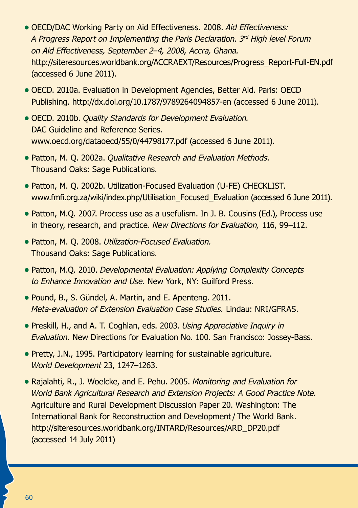- **•** OECD/DAC Working Party on Aid Effectiveness. 2008. *Aid Effectiveness: A Progress Report on Implementing the Paris Declaration. 3rd High level Forum on Aid Effectiveness, September 2–4, 2008, Accra, Ghana.* http://siteresources.worldbank.org/ACCRAEXT/Resources/Progress\_Report-Full-EN.pdf (accessed 6 June 2011).
- **•** OECD. 2010a. Evaluation in Development Agencies, Better Aid. Paris: OECD Publishing. http://dx.doi.org/10.1787/9789264094857-en (accessed 6 June 2011).
- **•** OECD. 2010b. *Quality Standards for Development Evaluation.* DAC Guideline and Reference Series. www.oecd.org/dataoecd/55/0/44798177.pdf (accessed 6 June 2011).
- **•** Patton, M. Q. 2002a. *Qualitative Research and Evaluation Methods.* Thousand Oaks: Sage Publications.
- **•** Patton, M. Q. 2002b. Utilization-Focused Evaluation (U-FE) CHECKLIST. www.fmfi.org.za/wiki/index.php/Utilisation\_Focused\_Evaluation (accessed 6 June 2011).
- **•** Patton, M.Q. 2007. Process use as a usefulism. In J. B. Cousins (Ed.), Process use in theory, research, and practice. *New Directions for Evaluation,* 116, 99–112.
- **•** Patton, M. Q. 2008. *Utilization-Focused Evaluation.* Thousand Oaks: Sage Publications.
- **•** Patton, M.Q. 2010. *Developmental Evaluation: Applying Complexity Concepts to Enhance Innovation and Use.* New York, NY: Guilford Press.
- **•** Pound, B., S. Gündel, A. Martin, and E. Apenteng. 2011. *Meta-evaluation of Extension Evaluation Case Studies.* Lindau: NRI/GFRAS.
- **•** Preskill, H., and A. T. Coghlan, eds. 2003. *Using Appreciative Inquiry in Evaluation.* New Directions for Evaluation No. 100. San Francisco: Jossey-Bass.
- **•** Pretty, J.N., 1995. Participatory learning for sustainable agriculture. *World Development* 23, 1247–1263.
- **•** Rajalahti, R., J. Woelcke, and E. Pehu. 2005. *Monitoring and Evaluation for World Bank Agricultural Research and Extension Projects: A Good Practice Note.* Agriculture and Rural Development Discussion Paper 20. Washington: The International Bank for Reconstruction and Development/ The World Bank. http://siteresources.worldbank.org/INTARD/Resources/ARD\_DP20.pdf (accessed 14 July 2011)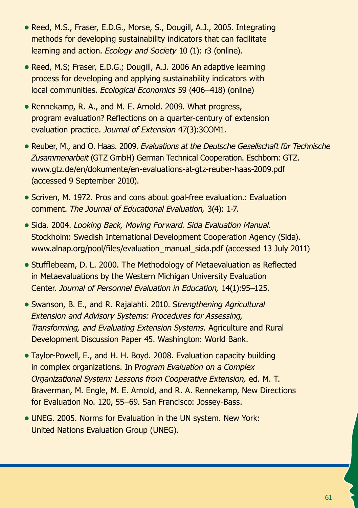- **•** Reed, M.S., Fraser, E.D.G., Morse, S., Dougill, A.J., 2005. Integrating methods for developing sustainability indicators that can facilitate learning and action. *Ecology and Society* 10 (1): r3 (online).
- **•** Reed, M.S; Fraser, E.D.G.; Dougill, A.J. 2006 An adaptive learning process for developing and applying sustainability indicators with local communities. *Ecological Economics* 59 (406–418) (online)
- **•** Rennekamp, R. A., and M. E. Arnold. 2009. What progress, program evaluation? Reflections on a quarter-century of extension evaluation practice. *Journal of Extension* 47(3):3COM1.
- **•** Reuber, M., and O. Haas. 2009. *Evaluations at the Deutsche Gesellschaft für Technische Zusammenarbeit* (GTZ GmbH) German Technical Cooperation. Eschborn: GTZ. www.gtz.de/en/dokumente/en-evaluations-at-gtz-reuber-haas-2009.pdf (accessed 9 September 2010).
- **•** Scriven, M. 1972. Pros and cons about goal-free evaluation.: Evaluation comment. *The Journal of Educational Evaluation,* 3(4): 1-7.
- **•** Sida. 2004. *Looking Back, Moving Forward. Sida Evaluation Manual.* Stockholm: Swedish International Development Cooperation Agency (Sida). www.alnap.org/pool/files/evaluation\_manual\_sida.pdf (accessed 13 July 2011)
- Stufflebeam, D. L. 2000. The Methodology of Metaevaluation as Reflected in Metaevaluations by the Western Michigan University Evaluation Center. *Journal of Personnel Evaluation in Education,* 14(1):95–125.
- **•** Swanson, B. E., and R. Rajalahti. 2010. S*trengthening Agricultural Extension and Advisory Systems: Procedures for Assessing, Transforming, and Evaluating Extension Systems.* Agriculture and Rural Development Discussion Paper 45. Washington: World Bank.
- **•** Taylor-Powell, E., and H. H. Boyd. 2008. Evaluation capacity building in complex organizations. In P*rogram Evaluation on a Complex Organizational System: Lessons from Cooperative Extension,* ed. M. T. Braverman, M. Engle, M. E. Arnold, and R. A. Rennekamp, New Directions for Evaluation No. 120, 55–69. San Francisco: Jossey-Bass.
- UNEG. 2005. Norms for Evaluation in the UN system. New York: United Nations Evaluation Group (UNEG).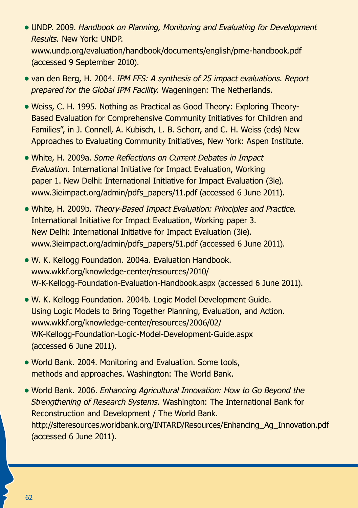- **•** UNDP. 2009. *Handbook on Planning, Monitoring and Evaluating for Development Results.* New York: UNDP. www.undp.org/evaluation/handbook/documents/english/pme-handbook.pdf (accessed 9 September 2010).
- **•** van den Berg, H. 2004. *IPM FFS: A synthesis of 25 impact evaluations. Report prepared for the Global IPM Facility.* Wageningen: The Netherlands.
- **•** Weiss, C. H. 1995. Nothing as Practical as Good Theory: Exploring Theory-Based Evaluation for Comprehensive Community Initiatives for Children and Families", in J. Connell, A. Kubisch, L. B. Schorr, and C. H. Weiss (eds) New Approaches to Evaluating Community Initiatives, New York: Aspen Institute.
- **•** White, H. 2009a. *Some Reflections on Current Debates in Impact Evaluation.* International Initiative for Impact Evaluation, Working paper 1. New Delhi: International Initiative for Impact Evaluation (3ie). www.3ieimpact.org/admin/pdfs\_papers/11.pdf (accessed 6 June 2011).
- **•** White, H. 2009b. *Theory-Based Impact Evaluation: Principles and Practice.* International Initiative for Impact Evaluation, Working paper 3. New Delhi: International Initiative for Impact Evaluation (3ie). www.3ieimpact.org/admin/pdfs\_papers/51.pdf (accessed 6 June 2011).
- **•** W. K. Kellogg Foundation. 2004a. Evaluation Handbook. www.wkkf.org/knowledge-center/resources/2010/ W-K-Kellogg-Foundation-Evaluation-Handbook.aspx (accessed 6 June 2011).
- **•** W. K. Kellogg Foundation. 2004b. Logic Model Development Guide. Using Logic Models to Bring Together Planning, Evaluation, and Action. www.wkkf.org/knowledge-center/resources/2006/02/ WK-Kellogg-Foundation-Logic-Model-Development-Guide.aspx (accessed 6 June 2011).
- **•** World Bank. 2004. Monitoring and Evaluation. Some tools, methods and approaches. Washington: The World Bank.
- **•** World Bank. 2006. *Enhancing Agricultural Innovation: How to Go Beyond the Strengthening of Research Systems.* Washington: The International Bank for Reconstruction and Development / The World Bank. http://siteresources.worldbank.org/INTARD/Resources/Enhancing\_Ag\_Innovation.pdf (accessed 6 June 2011).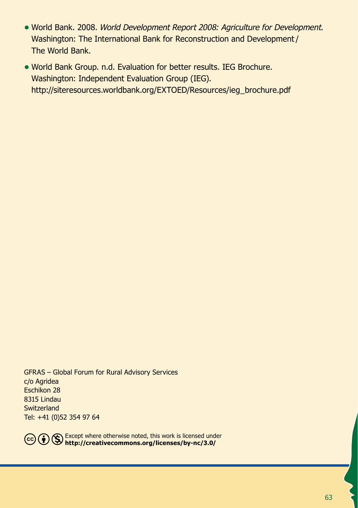- **•** World Bank. 2008. *World Development Report 2008: Agriculture for Development.* Washington: The International Bank for Reconstruction and Development/ The World Bank.
- **•** World Bank Group. n.d. Evaluation for better results. IEG Brochure. Washington: Independent Evaluation Group (IEG). http://siteresources.worldbank.org/EXTOED/Resources/ieg\_brochure.pdf

GFRAS – Global Forum for Rural Advisory Services c/o Agridea Eschikon 28 8315 Lindau **Switzerland** Tel: +41 (0)52 354 97 64



Except where otherwise noted, this work is licensed under **http://creativecommons.org/licenses/by-nc/3.0/**